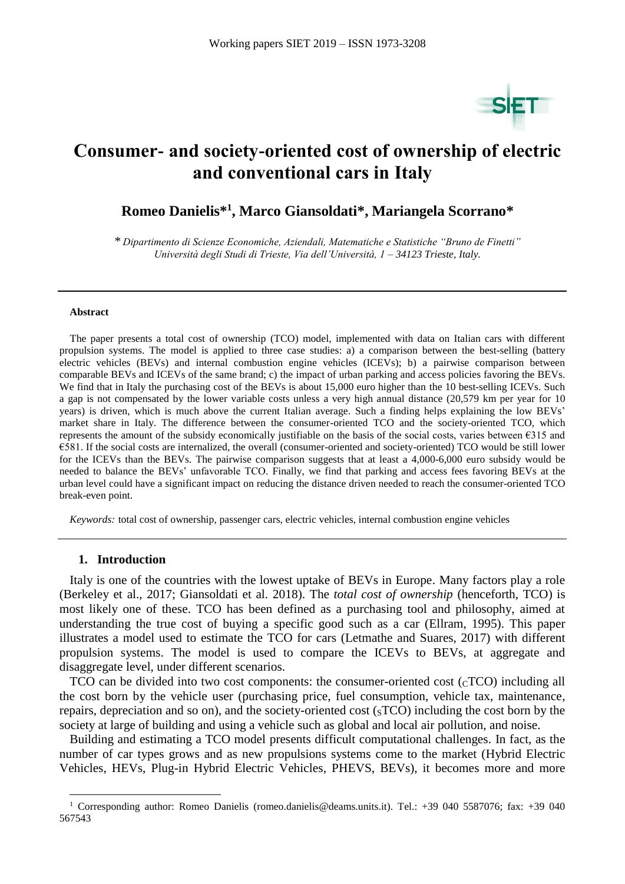

# **Consumer- and society-oriented cost of ownership of electric and conventional cars in Italy**

# **Romeo Danielis\* 1 , Marco Giansoldati\* , Mariangela Scorrano\***

*\* Dipartimento di Scienze Economiche, Aziendali, Matematiche e Statistiche "Bruno de Finetti" Università degli Studi di Trieste, Via dell'Università, 1 – 34123 Trieste, Italy.*

#### **Abstract**

The paper presents a total cost of ownership (TCO) model, implemented with data on Italian cars with different propulsion systems. The model is applied to three case studies: a) a comparison between the best-selling (battery electric vehicles (BEVs) and internal combustion engine vehicles (ICEVs); b) a pairwise comparison between comparable BEVs and ICEVs of the same brand; c) the impact of urban parking and access policies favoring the BEVs. We find that in Italy the purchasing cost of the BEVs is about 15,000 euro higher than the 10 best-selling ICEVs. Such a gap is not compensated by the lower variable costs unless a very high annual distance (20,579 km per year for 10 years) is driven, which is much above the current Italian average. Such a finding helps explaining the low BEVs' market share in Italy. The difference between the consumer-oriented TCO and the society-oriented TCO, which represents the amount of the subsidy economically justifiable on the basis of the social costs, varies between  $\epsilon$ 315 and €581. If the social costs are internalized, the overall (consumer-oriented and society-oriented) TCO would be still lower for the ICEVs than the BEVs. The pairwise comparison suggests that at least a 4,000-6,000 euro subsidy would be needed to balance the BEVs' unfavorable TCO. Finally, we find that parking and access fees favoring BEVs at the urban level could have a significant impact on reducing the distance driven needed to reach the consumer-oriented TCO break-even point.

*Keywords:* total cost of ownership, passenger cars, electric vehicles, internal combustion engine vehicles

#### **1. Introduction**

 $\overline{a}$ 

Italy is one of the countries with the lowest uptake of BEVs in Europe. Many factors play a role (Berkeley et al., 2017; Giansoldati et al. 2018). The *total cost of ownership* (henceforth, TCO) is most likely one of these. TCO has been defined as a purchasing tool and philosophy, aimed at understanding the true cost of buying a specific good such as a car (Ellram, 1995). This paper illustrates a model used to estimate the TCO for cars (Letmathe and Suares, 2017) with different propulsion systems. The model is used to compare the ICEVs to BEVs, at aggregate and disaggregate level, under different scenarios.

TCO can be divided into two cost components: the consumer-oriented cost  $({}_{c}TCO)$  including all the cost born by the vehicle user (purchasing price, fuel consumption, vehicle tax, maintenance, repairs, depreciation and so on), and the society-oriented cost (STCO) including the cost born by the society at large of building and using a vehicle such as global and local air pollution, and noise.

Building and estimating a TCO model presents difficult computational challenges. In fact, as the number of car types grows and as new propulsions systems come to the market (Hybrid Electric Vehicles, HEVs, Plug-in Hybrid Electric Vehicles, PHEVS, BEVs), it becomes more and more

<sup>1</sup> Corresponding author: Romeo Danielis (romeo.danielis@deams.units.it). Tel.: +39 040 5587076; fax: +39 040 567543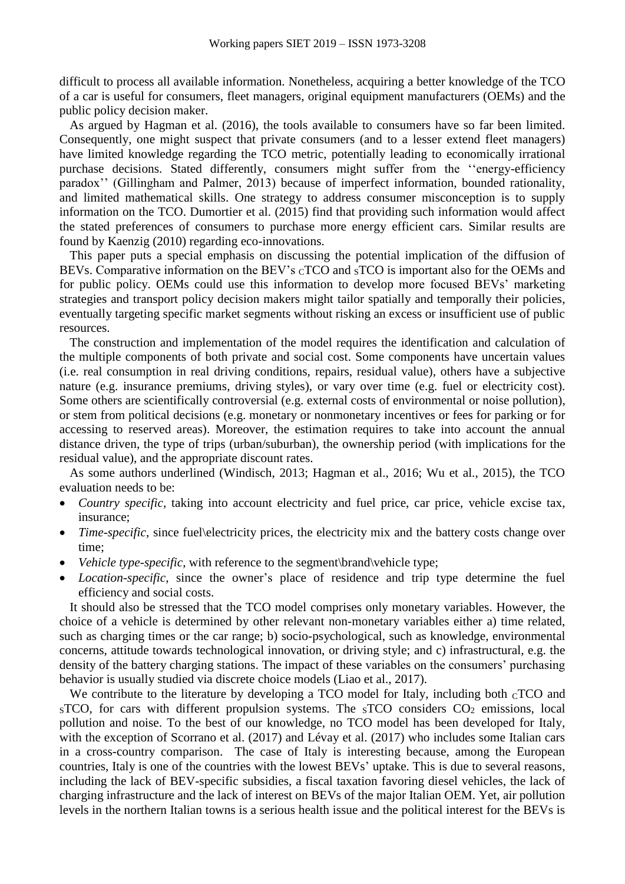difficult to process all available information. Nonetheless, acquiring a better knowledge of the TCO of a car is useful for consumers, fleet managers, original equipment manufacturers (OEMs) and the public policy decision maker.

As argued by Hagman et al. (2016), the tools available to consumers have so far been limited. Consequently, one might suspect that private consumers (and to a lesser extend fleet managers) have limited knowledge regarding the TCO metric, potentially leading to economically irrational purchase decisions. Stated differently, consumers might suffer from the ''energy-efficiency paradox'' (Gillingham and Palmer, 2013) because of imperfect information, bounded rationality, and limited mathematical skills. One strategy to address consumer misconception is to supply information on the TCO. Dumortier et al. (2015) find that providing such information would affect the stated preferences of consumers to purchase more energy efficient cars. Similar results are found by Kaenzig (2010) regarding eco-innovations.

This paper puts a special emphasis on discussing the potential implication of the diffusion of BEVs. Comparative information on the BEV's cTCO and sTCO is important also for the OEMs and for public policy. OEMs could use this information to develop more focused BEVs' marketing strategies and transport policy decision makers might tailor spatially and temporally their policies, eventually targeting specific market segments without risking an excess or insufficient use of public resources.

The construction and implementation of the model requires the identification and calculation of the multiple components of both private and social cost. Some components have uncertain values (i.e. real consumption in real driving conditions, repairs, residual value), others have a subjective nature (e.g. insurance premiums, driving styles), or vary over time (e.g. fuel or electricity cost). Some others are scientifically controversial (e.g. external costs of environmental or noise pollution), or stem from political decisions (e.g. monetary or nonmonetary incentives or fees for parking or for accessing to reserved areas). Moreover, the estimation requires to take into account the annual distance driven, the type of trips (urban/suburban), the ownership period (with implications for the residual value), and the appropriate discount rates.

As some authors underlined (Windisch, 2013; Hagman et al., 2016; Wu et al., 2015), the TCO evaluation needs to be:

- *Country specific,* taking into account electricity and fuel price, car price, vehicle excise tax, insurance;
- *Time-specific*, since fuel\electricity prices, the electricity mix and the battery costs change over time;
- Vehicle type-specific, with reference to the segment\brand\vehicle type;
- *Location-specific*, since the owner's place of residence and trip type determine the fuel efficiency and social costs.

It should also be stressed that the TCO model comprises only monetary variables. However, the choice of a vehicle is determined by other relevant non-monetary variables either a) time related, such as charging times or the car range; b) socio-psychological, such as knowledge, environmental concerns, attitude towards technological innovation, or driving style; and c) infrastructural, e.g. the density of the battery charging stations. The impact of these variables on the consumers' purchasing behavior is usually studied via discrete choice models (Liao et al., 2017).

We contribute to the literature by developing a TCO model for Italy, including both  $CTCO$  and  $S<sub>S</sub>TCO$ , for cars with different propulsion systems. The  $S<sub>S</sub>TCO$  considers  $CO<sub>2</sub>$  emissions, local pollution and noise. To the best of our knowledge, no TCO model has been developed for Italy, with the exception of Scorrano et al. (2017) and Lévay et al. (2017) who includes some Italian cars in a cross-country comparison. The case of Italy is interesting because, among the European countries, Italy is one of the countries with the lowest BEVs' uptake. This is due to several reasons, including the lack of BEV-specific subsidies, a fiscal taxation favoring diesel vehicles, the lack of charging infrastructure and the lack of interest on BEVs of the major Italian OEM. Yet, air pollution levels in the northern Italian towns is a serious health issue and the political interest for the BEVs is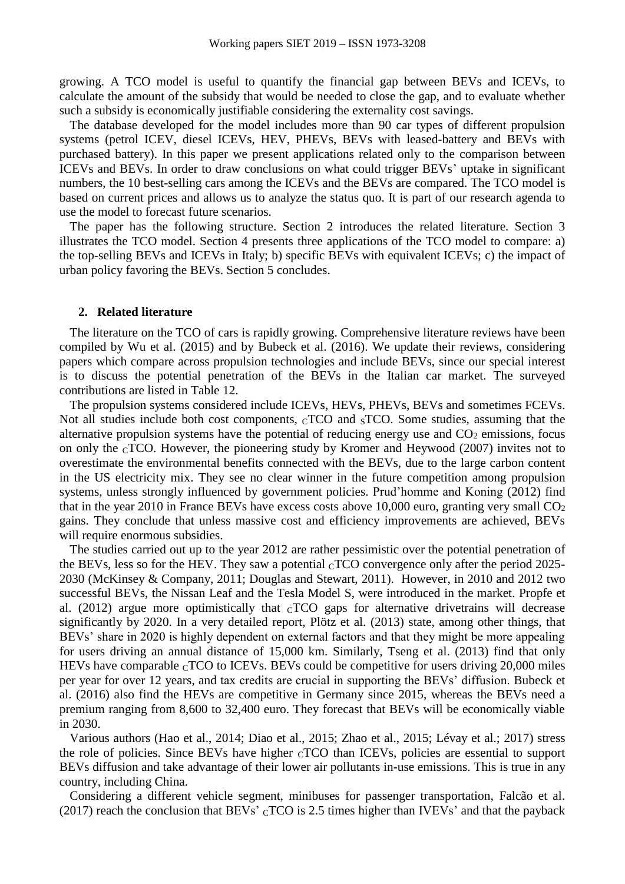growing. A TCO model is useful to quantify the financial gap between BEVs and ICEVs, to calculate the amount of the subsidy that would be needed to close the gap, and to evaluate whether such a subsidy is economically justifiable considering the externality cost savings.

The database developed for the model includes more than 90 car types of different propulsion systems (petrol ICEV, diesel ICEVs, HEV, PHEVs, BEVs with leased-battery and BEVs with purchased battery). In this paper we present applications related only to the comparison between ICEVs and BEVs. In order to draw conclusions on what could trigger BEVs' uptake in significant numbers, the 10 best-selling cars among the ICEVs and the BEVs are compared. The TCO model is based on current prices and allows us to analyze the status quo. It is part of our research agenda to use the model to forecast future scenarios.

The paper has the following structure. Section 2 introduces the related literature. Section 3 illustrates the TCO model. Section 4 presents three applications of the TCO model to compare: a) the top-selling BEVs and ICEVs in Italy; b) specific BEVs with equivalent ICEVs; c) the impact of urban policy favoring the BEVs. Section 5 concludes.

#### **2. Related literature**

The literature on the TCO of cars is rapidly growing. Comprehensive literature reviews have been compiled by Wu et al. (2015) and by Bubeck et al. (2016). We update their reviews, considering papers which compare across propulsion technologies and include BEVs, since our special interest is to discuss the potential penetration of the BEVs in the Italian car market. The surveyed contributions are listed in [Table 12.](#page-18-0)

The propulsion systems considered include ICEVs, HEVs, PHEVs, BEVs and sometimes FCEVs. Not all studies include both cost components,  $CTCO$  and  $STCO$ . Some studies, assuming that the alternative propulsion systems have the potential of reducing energy use and  $CO<sub>2</sub>$  emissions, focus on only the CTCO. However, the pioneering study by Kromer and Heywood (2007) invites not to overestimate the environmental benefits connected with the BEVs, due to the large carbon content in the US electricity mix. They see no clear winner in the future competition among propulsion systems, unless strongly influenced by government policies. Prud'homme and Koning (2012) find that in the year 2010 in France BEVs have excess costs above 10,000 euro, granting very small  $CO<sub>2</sub>$ gains. They conclude that unless massive cost and efficiency improvements are achieved, BEVs will require enormous subsidies.

The studies carried out up to the year 2012 are rather pessimistic over the potential penetration of the BEVs, less so for the HEV. They saw a potential  $_{\rm C}$ TCO convergence only after the period 2025-2030 (McKinsey & Company, 2011; Douglas and Stewart, 2011). However, in 2010 and 2012 two successful BEVs, the Nissan Leaf and the Tesla Model S, were introduced in the market. Propfe et al. (2012) argue more optimistically that  $CTCO$  gaps for alternative drivetrains will decrease significantly by 2020. In a very detailed report, Plötz et al. (2013) state, among other things, that BEVs' share in 2020 is highly dependent on external factors and that they might be more appealing for users driving an annual distance of 15,000 km. Similarly, Tseng et al. (2013) find that only HEVs have comparable  ${}_{\text{C}}$ TCO to ICEVs. BEVs could be competitive for users driving 20,000 miles per year for over 12 years, and tax credits are crucial in supporting the BEVs' diffusion. Bubeck et al. (2016) also find the HEVs are competitive in Germany since 2015, whereas the BEVs need a premium ranging from 8,600 to 32,400 euro. They forecast that BEVs will be economically viable in 2030.

Various authors (Hao et al., 2014; Diao et al., 2015; Zhao et al., 2015; Lévay et al.; 2017) stress the role of policies. Since BEVs have higher  $CTCO$  than ICEVs, policies are essential to support BEVs diffusion and take advantage of their lower air pollutants in-use emissions. This is true in any country, including China.

Considering a different vehicle segment, minibuses for passenger transportation, Falcão et al. (2017) reach the conclusion that BEVs'  $_{\rm C}$ TCO is 2.5 times higher than IVEVs' and that the payback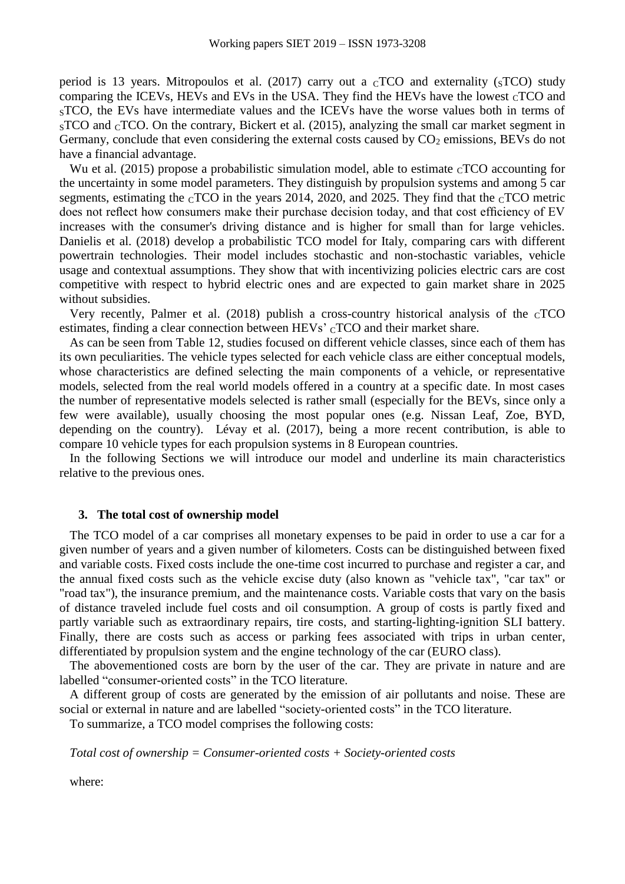period is 13 years. Mitropoulos et al. (2017) carry out a  $_{\rm C}$ TCO and externality ( $_{\rm S}$ TCO) study comparing the ICEVs, HEVs and EVs in the USA. They find the HEVs have the lowest  $\rm_{C}TCO$  and <sup>S</sup>TCO, the EVs have intermediate values and the ICEVs have the worse values both in terms of  $S<sub>S</sub>TCO$  and  $C<sub>C</sub>TCO$ . On the contrary, Bickert et al. (2015), analyzing the small car market segment in Germany, conclude that even considering the external costs caused by  $CO<sub>2</sub>$  emissions, BEVs do not have a financial advantage.

Wu et al. (2015) propose a probabilistic simulation model, able to estimate  $CTCO$  accounting for the uncertainty in some model parameters. They distinguish by propulsion systems and among 5 car segments, estimating the  $\rm_{C}TCO$  in the years 2014, 2020, and 2025. They find that the  $\rm_{C}TCO$  metric does not reflect how consumers make their purchase decision today, and that cost efficiency of EV increases with the consumer's driving distance and is higher for small than for large vehicles. Danielis et al. (2018) develop a probabilistic TCO model for Italy, comparing cars with different powertrain technologies. Their model includes stochastic and non-stochastic variables, vehicle usage and contextual assumptions. They show that with incentivizing policies electric cars are cost competitive with respect to hybrid electric ones and are expected to gain market share in 2025 without subsidies.

Very recently, Palmer et al.  $(2018)$  publish a cross-country historical analysis of the  $CTCO$ estimates, finding a clear connection between HEVs' CTCO and their market share.

As can be seen from [Table 12,](#page-18-0) studies focused on different vehicle classes, since each of them has its own peculiarities. The vehicle types selected for each vehicle class are either conceptual models, whose characteristics are defined selecting the main components of a vehicle, or representative models, selected from the real world models offered in a country at a specific date. In most cases the number of representative models selected is rather small (especially for the BEVs, since only a few were available), usually choosing the most popular ones (e.g. Nissan Leaf, Zoe, BYD, depending on the country). Lévay et al. (2017), being a more recent contribution, is able to compare 10 vehicle types for each propulsion systems in 8 European countries.

In the following Sections we will introduce our model and underline its main characteristics relative to the previous ones.

# **3. The total cost of ownership model**

The TCO model of a car comprises all monetary expenses to be paid in order to use a car for a given number of years and a given number of kilometers. Costs can be distinguished between fixed and variable costs. Fixed costs include the one-time cost incurred to purchase and register a car, and the annual fixed costs such as the vehicle excise duty (also known as "vehicle tax", "car tax" or "road tax"), the insurance premium, and the maintenance costs. Variable costs that vary on the basis of distance traveled include fuel costs and oil consumption. A group of costs is partly fixed and partly variable such as extraordinary repairs, tire costs, and starting-lighting-ignition SLI battery. Finally, there are costs such as access or parking fees associated with trips in urban center, differentiated by propulsion system and the engine technology of the car (EURO class).

The abovementioned costs are born by the user of the car. They are private in nature and are labelled "consumer-oriented costs" in the TCO literature.

A different group of costs are generated by the emission of air pollutants and noise. These are social or external in nature and are labelled "society-oriented costs" in the TCO literature.

To summarize, a TCO model comprises the following costs:

*Total cost of ownership = Consumer-oriented costs + Society-oriented costs*

where: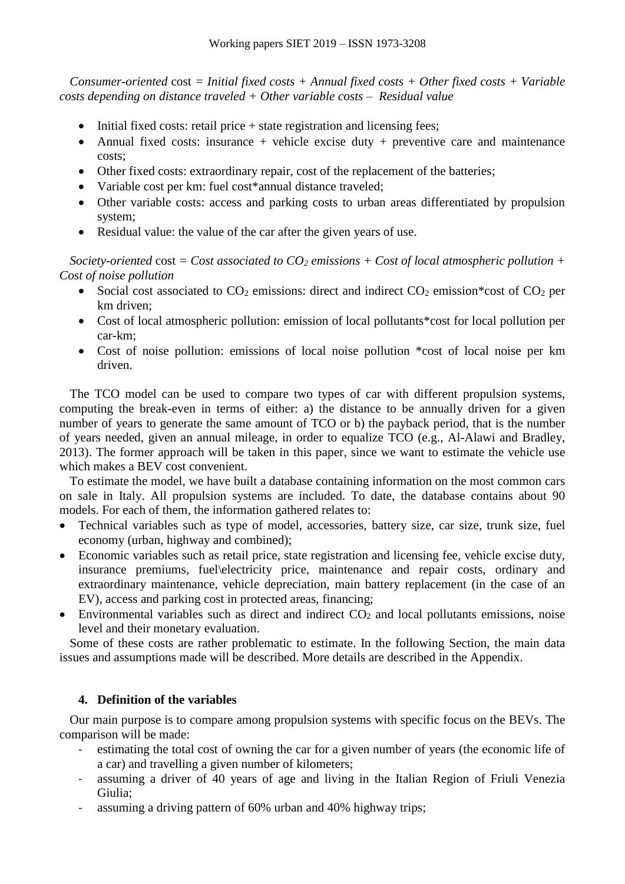*Consumer-oriented* cost *= Initial fixed costs + Annual fixed costs + Other fixed costs + Variable costs depending on distance traveled + Other variable costs – Residual value*

- $\bullet$  Initial fixed costs: retail price  $+$  state registration and licensing fees;
- Annual fixed costs: insurance + vehicle excise duty + preventive care and maintenance costs;
- Other fixed costs: extraordinary repair, cost of the replacement of the batteries;
- Variable cost per km: fuel cost\*annual distance traveled;
- Other variable costs: access and parking costs to urban areas differentiated by propulsion system;
- Residual value: the value of the car after the given years of use.

*Society-oriented* cost *= Cost associated to CO<sup>2</sup> emissions + Cost of local atmospheric pollution + Cost of noise pollution*

- Social cost associated to  $CO_2$  emissions: direct and indirect  $CO_2$  emission\*cost of  $CO_2$  per km driven;
- Cost of local atmospheric pollution: emission of local pollutants\*cost for local pollution per car-km;
- Cost of noise pollution: emissions of local noise pollution \*cost of local noise per km driven.

The TCO model can be used to compare two types of car with different propulsion systems, computing the break-even in terms of either: a) the distance to be annually driven for a given number of years to generate the same amount of TCO or b) the payback period, that is the number of years needed, given an annual mileage, in order to equalize TCO (e.g., Al-Alawi and Bradley, 2013). The former approach will be taken in this paper, since we want to estimate the vehicle use which makes a BEV cost convenient.

To estimate the model, we have built a database containing information on the most common cars on sale in Italy. All propulsion systems are included. To date, the database contains about 90 models. For each of them, the information gathered relates to:

- Technical variables such as type of model, accessories, battery size, car size, trunk size, fuel economy (urban, highway and combined);
- Economic variables such as retail price, state registration and licensing fee, vehicle excise duty, insurance premiums, fuel\electricity price, maintenance and repair costs, ordinary and extraordinary maintenance, vehicle depreciation, main battery replacement (in the case of an EV), access and parking cost in protected areas, financing;
- Environmental variables such as direct and indirect  $CO<sub>2</sub>$  and local pollutants emissions, noise level and their monetary evaluation.

Some of these costs are rather problematic to estimate. In the following Section, the main data issues and assumptions made will be described. More details are described in the Appendix.

# **4. Definition of the variables**

Our main purpose is to compare among propulsion systems with specific focus on the BEVs. The comparison will be made:

- estimating the total cost of owning the car for a given number of years (the economic life of a car) and travelling a given number of kilometers;
- assuming a driver of 40 years of age and living in the Italian Region of Friuli Venezia Giulia;
- assuming a driving pattern of 60% urban and 40% highway trips;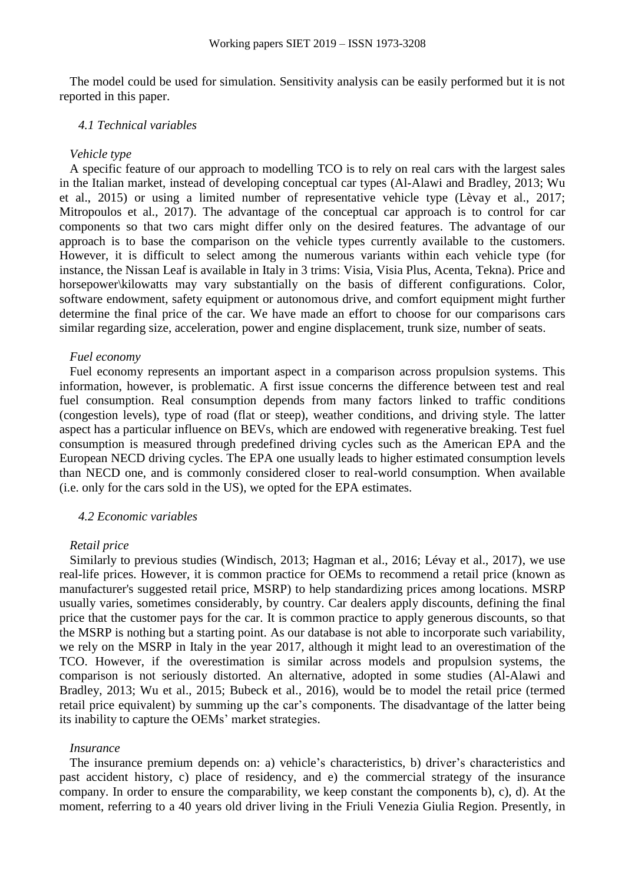The model could be used for simulation. Sensitivity analysis can be easily performed but it is not reported in this paper.

#### *4.1 Technical variables*

# *Vehicle type*

A specific feature of our approach to modelling TCO is to rely on real cars with the largest sales in the Italian market, instead of developing conceptual car types (Al-Alawi and Bradley, 2013; Wu et al., 2015) or using a limited number of representative vehicle type (Lèvay et al., 2017; Mitropoulos et al., 2017). The advantage of the conceptual car approach is to control for car components so that two cars might differ only on the desired features. The advantage of our approach is to base the comparison on the vehicle types currently available to the customers. However, it is difficult to select among the numerous variants within each vehicle type (for instance, the Nissan Leaf is available in Italy in 3 trims: Visia, Visia Plus, Acenta, Tekna). Price and horsepower\kilowatts may vary substantially on the basis of different configurations. Color, software endowment, safety equipment or autonomous drive, and comfort equipment might further determine the final price of the car. We have made an effort to choose for our comparisons cars similar regarding size, acceleration, power and engine displacement, trunk size, number of seats.

#### *Fuel economy*

Fuel economy represents an important aspect in a comparison across propulsion systems. This information, however, is problematic. A first issue concerns the difference between test and real fuel consumption. Real consumption depends from many factors linked to traffic conditions (congestion levels), type of road (flat or steep), weather conditions, and driving style. The latter aspect has a particular influence on BEVs, which are endowed with regenerative breaking. Test fuel consumption is measured through predefined driving cycles such as the American EPA and the European NECD driving cycles. The EPA one usually leads to higher estimated consumption levels than NECD one, and is commonly considered closer to real-world consumption. When available (i.e. only for the cars sold in the US), we opted for the EPA estimates.

#### *4.2 Economic variables*

#### *Retail price*

Similarly to previous studies (Windisch, 2013; Hagman et al., 2016; Lévay et al., 2017), we use real-life prices. However, it is common practice for OEMs to recommend a retail price (known as manufacturer's suggested retail price, MSRP) to help standardizing prices among locations. MSRP usually varies, sometimes considerably, by country. Car dealers apply discounts, defining the final price that the customer pays for the car. It is common practice to apply generous discounts, so that the MSRP is nothing but a starting point. As our database is not able to incorporate such variability, we rely on the MSRP in Italy in the year 2017, although it might lead to an overestimation of the TCO. However, if the overestimation is similar across models and propulsion systems, the comparison is not seriously distorted. An alternative, adopted in some studies (Al-Alawi and Bradley, 2013; Wu et al., 2015; Bubeck et al., 2016), would be to model the retail price (termed retail price equivalent) by summing up the car's components. The disadvantage of the latter being its inability to capture the OEMs' market strategies.

#### *Insurance*

The insurance premium depends on: a) vehicle's characteristics, b) driver's characteristics and past accident history, c) place of residency, and e) the commercial strategy of the insurance company. In order to ensure the comparability, we keep constant the components b), c), d). At the moment, referring to a 40 years old driver living in the Friuli Venezia Giulia Region. Presently, in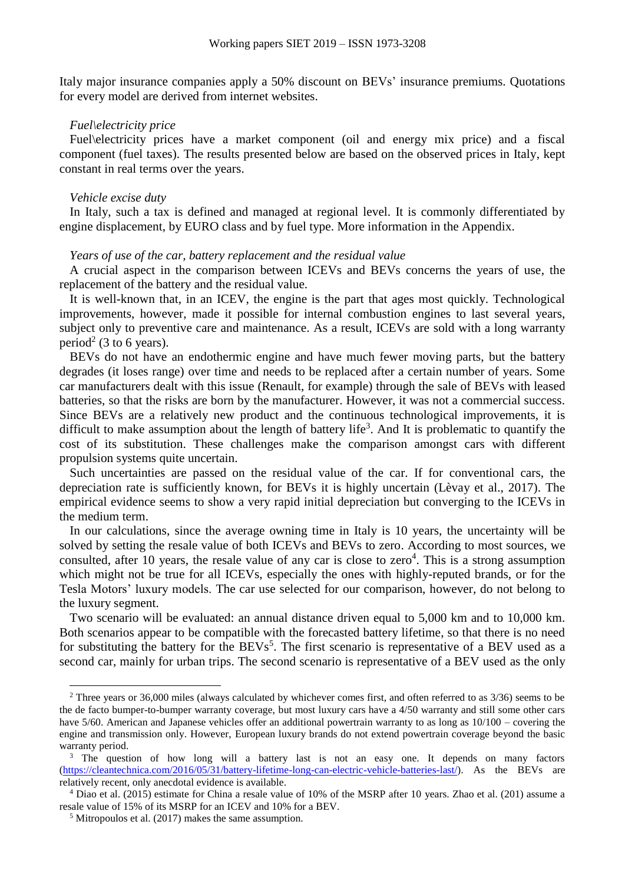Italy major insurance companies apply a 50% discount on BEVs' insurance premiums. Quotations for every model are derived from internet websites.

#### *Fuel\electricity price*

Fuel\electricity prices have a market component (oil and energy mix price) and a fiscal component (fuel taxes). The results presented below are based on the observed prices in Italy, kept constant in real terms over the years.

#### *Vehicle excise duty*

In Italy, such a tax is defined and managed at regional level. It is commonly differentiated by engine displacement, by EURO class and by fuel type. More information in the Appendix.

#### *Years of use of the car, battery replacement and the residual value*

A crucial aspect in the comparison between ICEVs and BEVs concerns the years of use, the replacement of the battery and the residual value.

It is well-known that, in an ICEV, the engine is the part that ages most quickly. Technological improvements, however, made it possible for internal combustion engines to last several years, subject only to preventive care and maintenance. As a result, ICEVs are sold with a long warranty period<sup>2</sup> (3 to 6 years).

BEVs do not have an endothermic engine and have much fewer moving parts, but the battery degrades (it loses range) over time and needs to be replaced after a certain number of years. Some car manufacturers dealt with this issue (Renault, for example) through the sale of BEVs with leased batteries, so that the risks are born by the manufacturer. However, it was not a commercial success. Since BEVs are a relatively new product and the continuous technological improvements, it is difficult to make assumption about the length of battery life<sup>3</sup>. And It is problematic to quantify the cost of its substitution. These challenges make the comparison amongst cars with different propulsion systems quite uncertain.

Such uncertainties are passed on the residual value of the car. If for conventional cars, the depreciation rate is sufficiently known, for BEVs it is highly uncertain (Lèvay et al., 2017). The empirical evidence seems to show a very rapid initial depreciation but converging to the ICEVs in the medium term.

In our calculations, since the average owning time in Italy is 10 years, the uncertainty will be solved by setting the resale value of both ICEVs and BEVs to zero. According to most sources, we consulted, after 10 years, the resale value of any car is close to zero $4$ . This is a strong assumption which might not be true for all ICEVs, especially the ones with highly-reputed brands, or for the Tesla Motors' luxury models. The car use selected for our comparison, however, do not belong to the luxury segment.

Two scenario will be evaluated: an annual distance driven equal to 5,000 km and to 10,000 km. Both scenarios appear to be compatible with the forecasted battery lifetime, so that there is no need for substituting the battery for the BEVs<sup>5</sup>. The first scenario is representative of a BEV used as a second car, mainly for urban trips. The second scenario is representative of a BEV used as the only

 $\overline{a}$ 

 $2$  Three years or 36,000 miles (always calculated by whichever comes first, and often referred to as  $3/36$ ) seems to be the de facto bumper-to-bumper warranty coverage, but most luxury cars have a 4/50 warranty and still some other cars have 5/60. American and Japanese vehicles offer an additional powertrain warranty to as long as  $10/100$  – covering the engine and transmission only. However, European luxury brands do not extend powertrain coverage beyond the basic warranty period.

<sup>&</sup>lt;sup>3</sup> The question of how long will a battery last is not an easy one. It depends on many factors [\(https://cleantechnica.com/2016/05/31/battery-lifetime-long-can-electric-vehicle-batteries-last/\)](https://cleantechnica.com/2016/05/31/battery-lifetime-long-can-electric-vehicle-batteries-last/). As the BEVs are relatively recent, only anecdotal evidence is available.

<sup>4</sup> Diao et al. (2015) estimate for China a resale value of 10% of the MSRP after 10 years. Zhao et al. (201) assume a resale value of 15% of its MSRP for an ICEV and 10% for a BEV.

<sup>5</sup> Mitropoulos et al. (2017) makes the same assumption.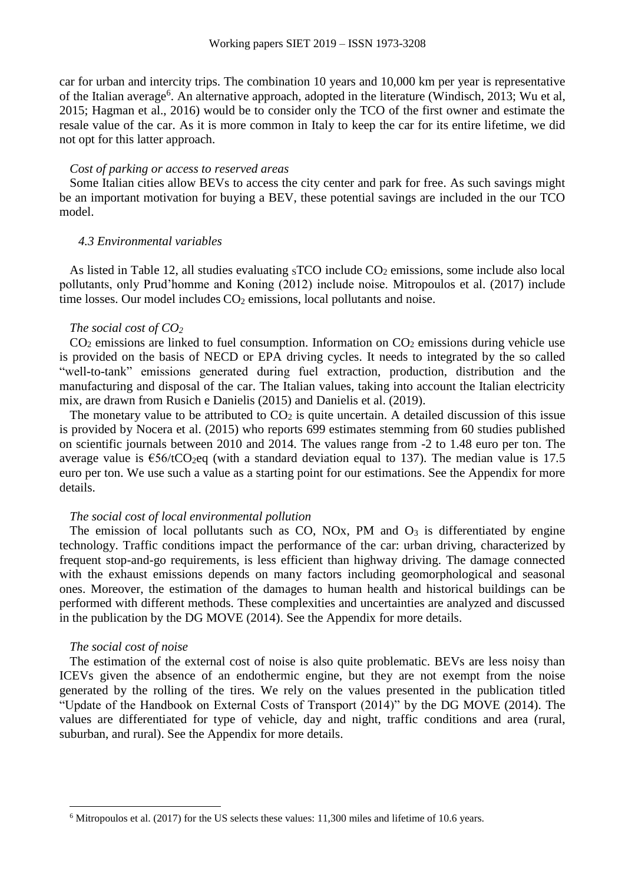car for urban and intercity trips. The combination 10 years and 10,000 km per year is representative of the Italian average<sup>6</sup>. An alternative approach, adopted in the literature (Windisch, 2013; Wu et al, 2015; Hagman et al., 2016) would be to consider only the TCO of the first owner and estimate the resale value of the car. As it is more common in Italy to keep the car for its entire lifetime, we did not opt for this latter approach.

# *Cost of parking or access to reserved areas*

Some Italian cities allow BEVs to access the city center and park for free. As such savings might be an important motivation for buying a BEV, these potential savings are included in the our TCO model.

#### *4.3 Environmental variables*

As listed in [Table 12,](#page-18-0) all studies evaluating  ${}_{5}TCO$  include  $CO_{2}$  emissions, some include also local pollutants, only Prud'homme and Koning (2012) include noise. Mitropoulos et al. (2017) include time losses. Our model includes  $CO<sub>2</sub>$  emissions, local pollutants and noise.

#### *The social cost of CO<sup>2</sup>*

 $CO<sub>2</sub>$  emissions are linked to fuel consumption. Information on  $CO<sub>2</sub>$  emissions during vehicle use is provided on the basis of NECD or EPA driving cycles. It needs to integrated by the so called "well-to-tank" emissions generated during fuel extraction, production, distribution and the manufacturing and disposal of the car. The Italian values, taking into account the Italian electricity mix, are drawn from Rusich e Danielis (2015) and Danielis et al. (2019).

The monetary value to be attributed to  $CO<sub>2</sub>$  is quite uncertain. A detailed discussion of this issue is provided by Nocera et al. (2015) who reports 699 estimates stemming from 60 studies published on scientific journals between 2010 and 2014. The values range from -2 to 1.48 euro per ton. The average value is  $\epsilon$ 56/tCO<sub>2</sub>eq (with a standard deviation equal to 137). The median value is 17.5 euro per ton. We use such a value as a starting point for our estimations. See the Appendix for more details.

# *The social cost of local environmental pollution*

The emission of local pollutants such as  $CO$ ,  $NOx$ ,  $PM$  and  $O<sub>3</sub>$  is differentiated by engine technology. Traffic conditions impact the performance of the car: urban driving, characterized by frequent stop-and-go requirements, is less efficient than highway driving. The damage connected with the exhaust emissions depends on many factors including geomorphological and seasonal ones. Moreover, the estimation of the damages to human health and historical buildings can be performed with different methods. These complexities and uncertainties are analyzed and discussed in the publication by the DG MOVE (2014). See the Appendix for more details.

#### *The social cost of noise*

The estimation of the external cost of noise is also quite problematic. BEVs are less noisy than ICEVs given the absence of an endothermic engine, but they are not exempt from the noise generated by the rolling of the tires. We rely on the values presented in the publication titled "Update of the Handbook on External Costs of Transport (2014)" by the DG MOVE (2014). The values are differentiated for type of vehicle, day and night, traffic conditions and area (rural, suburban, and rural). See the Appendix for more details.

<sup>6</sup> Mitropoulos et al. (2017) for the US selects these values: 11,300 miles and lifetime of 10.6 years.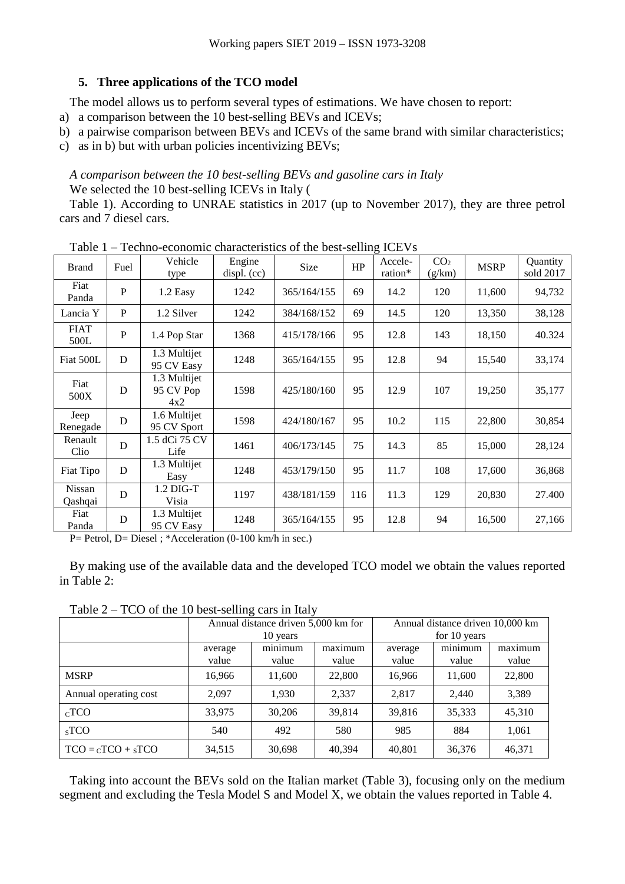# **5. Three applications of the TCO model**

The model allows us to perform several types of estimations. We have chosen to report:

a) a comparison between the 10 best-selling BEVs and ICEVs;

b) a pairwise comparison between BEVs and ICEVs of the same brand with similar characteristics;

c) as in b) but with urban policies incentivizing BEVs;

*A comparison between the 10 best-selling BEVs and gasoline cars in Italy* We selected the 10 best-selling ICEVs in Italy [\(](#page-8-0)

[Table](#page-8-0) 1). According to UNRAE statistics in 2017 (up to November 2017), they are three petrol cars and 7 diesel cars.

| <b>Brand</b>        | Fuel        | Vehicle<br>type                  | Engine<br>displ. (cc) | Size        | HP  | Accele-<br>ration* | CO <sub>2</sub><br>(g/km) | <b>MSRP</b> | Quantity<br>sold 2017 |
|---------------------|-------------|----------------------------------|-----------------------|-------------|-----|--------------------|---------------------------|-------------|-----------------------|
| Fiat<br>Panda       | $\mathbf P$ | 1.2 Easy                         | 1242                  | 365/164/155 | 69  | 14.2               | 120                       | 11,600      | 94,732                |
| Lancia Y            | P           | 1.2 Silver                       | 1242                  | 384/168/152 | 69  | 14.5               | 120                       | 13,350      | 38,128                |
| <b>FIAT</b><br>500L | $\mathbf P$ | 1.4 Pop Star                     | 1368                  | 415/178/166 | 95  | 12.8               | 143                       | 18,150      | 40.324                |
| Fiat 500L           | D           | 1.3 Multijet<br>95 CV Easy       | 1248                  | 365/164/155 | 95  | 12.8               | 94                        | 15,540      | 33,174                |
| Fiat<br>500X        | D           | 1.3 Multijet<br>95 CV Pop<br>4x2 | 1598                  | 425/180/160 | 95  | 12.9               | 107                       | 19,250      | 35,177                |
| Jeep<br>Renegade    | D           | 1.6 Multijet<br>95 CV Sport      | 1598                  | 424/180/167 | 95  | 10.2               | 115                       | 22,800      | 30,854                |
| Renault<br>Clio     | D           | 1.5 dCi 75 CV<br>Life            | 1461                  | 406/173/145 | 75  | 14.3               | 85                        | 15,000      | 28,124                |
| Fiat Tipo           | D           | 1.3 Multijet<br>Easy             | 1248                  | 453/179/150 | 95  | 11.7               | 108                       | 17,600      | 36,868                |
| Nissan<br>Qashqai   | D           | $1.2$ DIG-T<br>Visia             | 1197                  | 438/181/159 | 116 | 11.3               | 129                       | 20,830      | 27.400                |
| Fiat<br>Panda       | D           | 1.3 Multijet<br>95 CV Easy       | 1248                  | 365/164/155 | 95  | 12.8               | 94                        | 16,500      | 27,166                |

<span id="page-8-0"></span>Table 1 – Techno-economic characteristics of the best-selling ICEVs

 $P=$  Petrol,  $D=$  Diesel ; \*Acceleration (0-100 km/h in sec.)

By making use of the available data and the developed TCO model we obtain the values reported in [Table 2:](#page-8-1)

<span id="page-8-1"></span>Table 2 – TCO of the 10 best-selling cars in Italy

| * **** <del>*</del><br>$100$ or the 10 0000 behing early in run |                  |                                     |                  |                                  |                  |                  |  |
|-----------------------------------------------------------------|------------------|-------------------------------------|------------------|----------------------------------|------------------|------------------|--|
|                                                                 |                  | Annual distance driven 5,000 km for |                  | Annual distance driven 10,000 km |                  |                  |  |
|                                                                 |                  | 10 years                            |                  | for 10 years                     |                  |                  |  |
|                                                                 | average<br>value | minimum<br>value                    | maximum<br>value | average<br>value                 | minimum<br>value | maximum<br>value |  |
| <b>MSRP</b>                                                     | 16,966           | 11,600                              | 22,800           | 16,966                           | 11,600           | 22,800           |  |
| Annual operating cost                                           | 2.097            | 1.930                               | 2,337            | 2.817                            | 2.440            | 3,389            |  |
| $CC TCO$                                                        | 33,975           | 30,206                              | 39,814           | 39,816                           | 35,333           | 45,310           |  |
| $SS$ TCO                                                        | 540              | 492                                 | 580              | 985                              | 884              | 1,061            |  |
| $TCO = CTCO + STCO$                                             | 34,515           | 30,698                              | 40,394           | 40,801                           | 36,376           | 46,371           |  |

Taking into account the BEVs sold on the Italian market [\(Table 3\)](#page-9-0), focusing only on the medium segment and excluding the Tesla Model S and Model X, we obtain the values reported in [Table 4.](#page-9-1)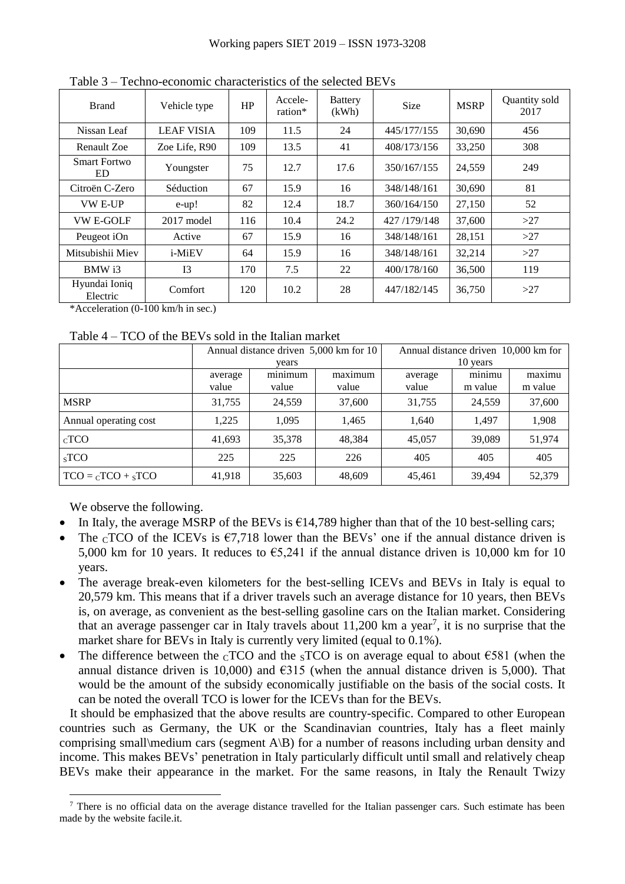| <b>Brand</b>               | Vehicle type         | HP  | Accele-<br>ration* | <b>Battery</b><br>(kWh) | <b>Size</b> | <b>MSRP</b> | Quantity sold<br>2017 |
|----------------------------|----------------------|-----|--------------------|-------------------------|-------------|-------------|-----------------------|
| Nissan Leaf                | <b>LEAF VISIA</b>    | 109 | 11.5               | 24                      | 445/177/155 | 30,690      | 456                   |
| Renault Zoe                | Zoe Life, R90        | 109 | 13.5               | 41                      | 408/173/156 | 33,250      | 308                   |
| <b>Smart Fortwo</b><br>ED. | Youngster            | 75  | 12.7               | 17.6                    | 350/167/155 | 24,559      | 249                   |
| Citroën C-Zero             | Séduction            | 67  | 15.9               | 16                      | 348/148/161 | 30,690      | 81                    |
| <b>VW E-UP</b>             | $e-up!$              | 82  | 12.4               | 18.7                    | 360/164/150 | 27,150      | 52                    |
| <b>VW E-GOLF</b>           | $2017 \text{ model}$ | 116 | 10.4               | 24.2                    | 427/179/148 | 37,600      | >27                   |
| Peugeot iOn                | Active               | 67  | 15.9               | 16                      | 348/148/161 | 28,151      | >27                   |
| Mitsubishii Miev           | i-MiEV               | 64  | 15.9               | 16                      | 348/148/161 | 32,214      | >27                   |
| BMW i3                     | I <sub>3</sub>       | 170 | 7.5                | 22                      | 400/178/160 | 36,500      | 119                   |
| Hyundai Ioniq<br>Electric  | Comfort              | 120 | 10.2               | 28                      | 447/182/145 | 36,750      | >27                   |

<span id="page-9-0"></span>Table 3 – Techno-economic characteristics of the selected BEVs

\*Acceleration (0-100 km/h in sec.)

<span id="page-9-1"></span>Table 4 – TCO of the BEVs sold in the Italian market

|                       |                  | Annual distance driven 5,000 km for 10<br>vears |                  |                  | Annual distance driven 10,000 km for<br>10 years |                   |  |  |
|-----------------------|------------------|-------------------------------------------------|------------------|------------------|--------------------------------------------------|-------------------|--|--|
|                       | average<br>value | minimum<br>value                                | maximum<br>value | average<br>value | minimu<br>m value                                | maximu<br>m value |  |  |
| <b>MSRP</b>           | 31,755           | 24,559                                          | 37,600           | 31,755           | 24.559                                           | 37,600            |  |  |
| Annual operating cost | 1,225            | 1,095                                           | 1,465            | 1,640            | 1.497                                            | 1,908             |  |  |
| $_{\rm C}$ TCO        | 41,693           | 35,378                                          | 48,384           | 45,057           | 39,089                                           | 51,974            |  |  |
| $SS$ TCO              | 225              | 225                                             | 226              | 405              | 405                                              | 405               |  |  |
| $TCO = cTCO + sTCO$   | 41,918           | 35,603                                          | 48,609           | 45,461           | 39,494                                           | 52,379            |  |  |

We observe the following.

 $\overline{a}$ 

- In Italy, the average MSRP of the BEVs is  $\epsilon$ 14,789 higher than that of the 10 best-selling cars;
- The  $\overline{C}$  TCO of the ICEVs is  $\epsilon$ 7,718 lower than the BEVs' one if the annual distance driven is 5,000 km for 10 years. It reduces to  $65,241$  if the annual distance driven is 10,000 km for 10 years.
- The average break-even kilometers for the best-selling ICEVs and BEVs in Italy is equal to 20,579 km. This means that if a driver travels such an average distance for 10 years, then BEVs is, on average, as convenient as the best-selling gasoline cars on the Italian market. Considering that an average passenger car in Italy travels about  $11,200$  km a year<sup>7</sup>, it is no surprise that the market share for BEVs in Italy is currently very limited (equal to 0.1%).
- The difference between the  $CTCO$  and the  $STCO$  is on average equal to about  $\epsilon$ 581 (when the annual distance driven is 10,000) and  $6315$  (when the annual distance driven is 5,000). That would be the amount of the subsidy economically justifiable on the basis of the social costs. It can be noted the overall TCO is lower for the ICEVs than for the BEVs.

It should be emphasized that the above results are country-specific. Compared to other European countries such as Germany, the UK or the Scandinavian countries, Italy has a fleet mainly comprising small medium cars (segment  $A\setminus B$ ) for a number of reasons including urban density and income. This makes BEVs' penetration in Italy particularly difficult until small and relatively cheap BEVs make their appearance in the market. For the same reasons, in Italy the Renault Twizy

<sup>&</sup>lt;sup>7</sup> There is no official data on the average distance travelled for the Italian passenger cars. Such estimate has been made by the website facile.it.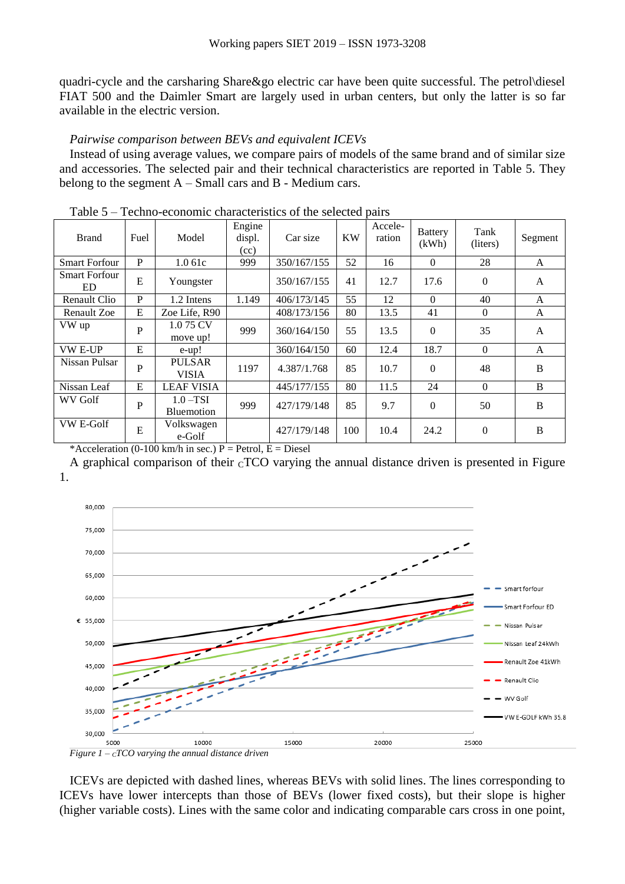quadri-cycle and the carsharing Share&go electric car have been quite successful. The petrol\diesel FIAT 500 and the Daimler Smart are largely used in urban centers, but only the latter is so far available in the electric version.

# *Pairwise comparison between BEVs and equivalent ICEVs*

Instead of using average values, we compare pairs of models of the same brand and of similar size and accessories. The selected pair and their technical characteristics are reported in [Table 5.](#page-10-0) They belong to the segment  $A - Small cars$  and  $B - Medium cars$ .

| <b>Brand</b>               | Fuel         | Model                         | Engine<br>displ.<br>(cc) | Car size    | <b>KW</b> | Accele-<br>ration | <b>Battery</b><br>(kWh) | Tank<br>(liters) | Segment      |
|----------------------------|--------------|-------------------------------|--------------------------|-------------|-----------|-------------------|-------------------------|------------------|--------------|
| <b>Smart Forfour</b>       | P            | 1.061c                        | 999                      | 350/167/155 | 52        | 16                | $\Omega$                | 28               | $\mathsf{A}$ |
| <b>Smart Forfour</b><br>ED | E            | Youngster                     |                          | 350/167/155 | 41        | 12.7              | 17.6                    | $\Omega$         | $\mathsf{A}$ |
| Renault Clio               | P            | 1.2 Intens                    | 1.149                    | 406/173/145 | 55        | 12                | $\Omega$                | 40               | A            |
| <b>Renault Zoe</b>         | E            | Zoe Life, R90                 |                          | 408/173/156 | 80        | 13.5              | 41                      | $\mathbf{0}$     | A            |
| VW up                      | $\mathbf{P}$ | 1.075 CV<br>move up!          | 999                      | 360/164/150 | 55        | 13.5              | $\theta$                | 35               | A            |
| <b>VW E-UP</b>             | E            | e-up!                         |                          | 360/164/150 | 60        | 12.4              | 18.7                    | $\overline{0}$   | A            |
| Nissan Pulsar              | P            | <b>PULSAR</b><br><b>VISIA</b> | 1197                     | 4.387/1.768 | 85        | 10.7              | $\Omega$                | 48               | B            |
| Nissan Leaf                | E            | <b>LEAF VISIA</b>             |                          | 445/177/155 | 80        | 11.5              | 24                      | $\theta$         | B            |
| WV Golf                    | P            | $1.0 - TSI$<br>Bluemotion     | 999                      | 427/179/148 | 85        | 9.7               | $\Omega$                | 50               | B            |
| VW E-Golf                  | E            | Volkswagen<br>e-Golf          |                          | 427/179/148 | 100       | 10.4              | 24.2                    | $\Omega$         | B            |

<span id="page-10-0"></span>Table 5 – Techno-economic characteristics of the selected pairs

\*Acceleration (0-100 km/h in sec.) P = Petrol, E = Diesel

A graphical comparison of their  ${}_{\text{c}}$ TCO varying the annual distance driven is presented in [Figure](#page-10-1) [1.](#page-10-1)



<span id="page-10-1"></span>*Figure*  $1 - cTCO$  *varying the annual distance driven* 

ICEVs are depicted with dashed lines, whereas BEVs with solid lines. The lines corresponding to ICEVs have lower intercepts than those of BEVs (lower fixed costs), but their slope is higher (higher variable costs). Lines with the same color and indicating comparable cars cross in one point,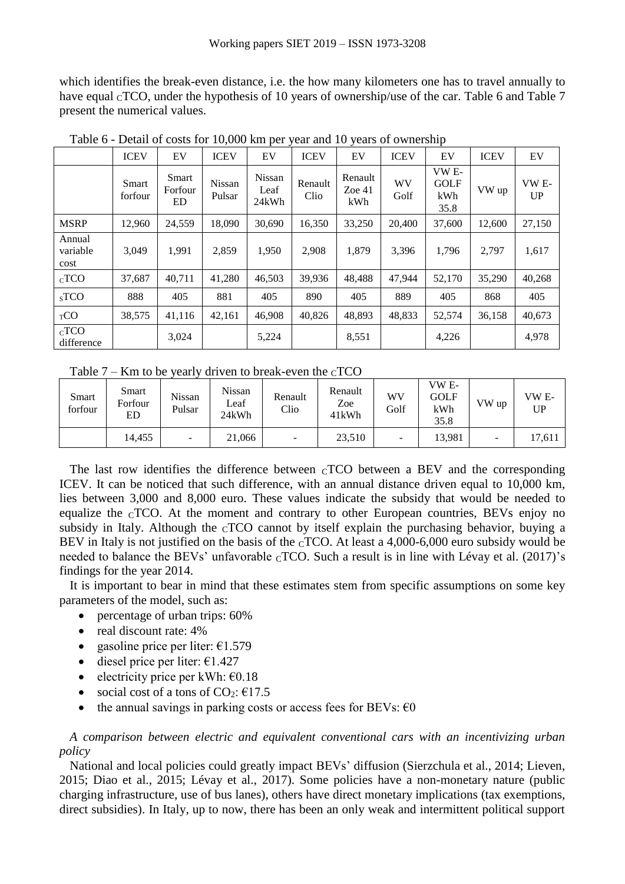which identifies the break-even distance, i.e. the how many kilometers one has to travel annually to have equal <sub>C</sub>TCO, under the hypothesis of 10 years of ownership/use of the car. [Table 6](#page-11-0) and [Table 7](#page-11-1) present the numerical values.

|                            | <b>ICEV</b>             | EV                            | <b>ICEV</b>      | EV                             | <b>ICEV</b>     | EV                         | <b>ICEV</b> | EV                                  | <b>ICEV</b> | EV                    |
|----------------------------|-------------------------|-------------------------------|------------------|--------------------------------|-----------------|----------------------------|-------------|-------------------------------------|-------------|-----------------------|
|                            | <b>Smart</b><br>forfour | <b>Smart</b><br>Forfour<br>ED | Nissan<br>Pulsar | <b>Nissan</b><br>Leaf<br>24kWh | Renault<br>Clio | Renault<br>Zoe $41$<br>kWh | WV<br>Golf  | VW E-<br><b>GOLF</b><br>kWh<br>35.8 | VW up       | VW <sub>E</sub><br>UP |
| <b>MSRP</b>                | 12,960                  | 24,559                        | 18,090           | 30,690                         | 16,350          | 33,250                     | 20,400      | 37,600                              | 12,600      | 27,150                |
| Annual<br>variable<br>cost | 3,049                   | 1,991                         | 2,859            | 1,950                          | 2,908           | 1,879                      | 3,396       | 1,796                               | 2,797       | 1,617                 |
| $CC TCO$                   | 37,687                  | 40,711                        | 41,280           | 46,503                         | 39,936          | 48,488                     | 47,944      | 52,170                              | 35,290      | 40,268                |
| $SS$ TCO                   | 888                     | 405                           | 881              | 405                            | 890             | 405                        | 889         | 405                                 | 868         | 405                   |
| TCO                        | 38,575                  | 41,116                        | 42,161           | 46,908                         | 40,826          | 48,893                     | 48,833      | 52,574                              | 36,158      | 40,673                |
| $CC TCO$<br>difference     |                         | 3,024                         |                  | 5,224                          |                 | 8,551                      |             | 4,226                               |             | 4,978                 |

<span id="page-11-0"></span>Table 6 - Detail of costs for 10,000 km per year and 10 years of ownership

<span id="page-11-1"></span>Table  $7 -$ Km to be yearly driven to break-even the  $_{\rm C}$ TCO

| Smart<br>forfour | Smart<br>Forfour<br>ED | Nissan<br>Pulsar | <b>Nissan</b><br>Leaf<br>24kWh | Renault<br>Clio | Renault<br>Zoe<br>41kWh | WV<br>Golf               | VW <sub>E</sub><br><b>GOLF</b><br>kWh<br>35.8 | VW up                    | VW <sub>E</sub> -<br>UP |
|------------------|------------------------|------------------|--------------------------------|-----------------|-------------------------|--------------------------|-----------------------------------------------|--------------------------|-------------------------|
|                  | 14,455                 | -                | 21,066                         | -               | 23,510                  | $\overline{\phantom{a}}$ | 13,981                                        | $\overline{\phantom{a}}$ | 17,611                  |

The last row identifies the difference between  $CTCO$  between a BEV and the corresponding ICEV. It can be noticed that such difference, with an annual distance driven equal to 10,000 km, lies between 3,000 and 8,000 euro. These values indicate the subsidy that would be needed to equalize the  $CTCO$ . At the moment and contrary to other European countries, BEVs enjoy no subsidy in Italy. Although the  $cTCO$  cannot by itself explain the purchasing behavior, buying a BEV in Italy is not justified on the basis of the cTCO. At least a 4,000-6,000 euro subsidy would be needed to balance the BEVs' unfavorable  $_{\rm C}$ TCO. Such a result is in line with Lévay et al. (2017)'s findings for the year 2014.

It is important to bear in mind that these estimates stem from specific assumptions on some key parameters of the model, such as:

- percentage of urban trips: 60%
- $\bullet$  real discount rate: 4%
- gasoline price per liter:  $€1.579$
- $\bullet$  diesel price per liter:  $\epsilon$ 1.427
- electricity price per kWh:  $\epsilon$ 0.18
- social cost of a tons of  $CO_2$ :  $€17.5$
- the annual savings in parking costs or access fees for BEVs:  $\epsilon$ 0

*A comparison between electric and equivalent conventional cars with an incentivizing urban policy*

National and local policies could greatly impact BEVs' diffusion (Sierzchula et al., 2014; Lieven, 2015; Diao et al., 2015; Lévay et al., 2017). Some policies have a non-monetary nature (public charging infrastructure, use of bus lanes), others have direct monetary implications (tax exemptions, direct subsidies). In Italy, up to now, there has been an only weak and intermittent political support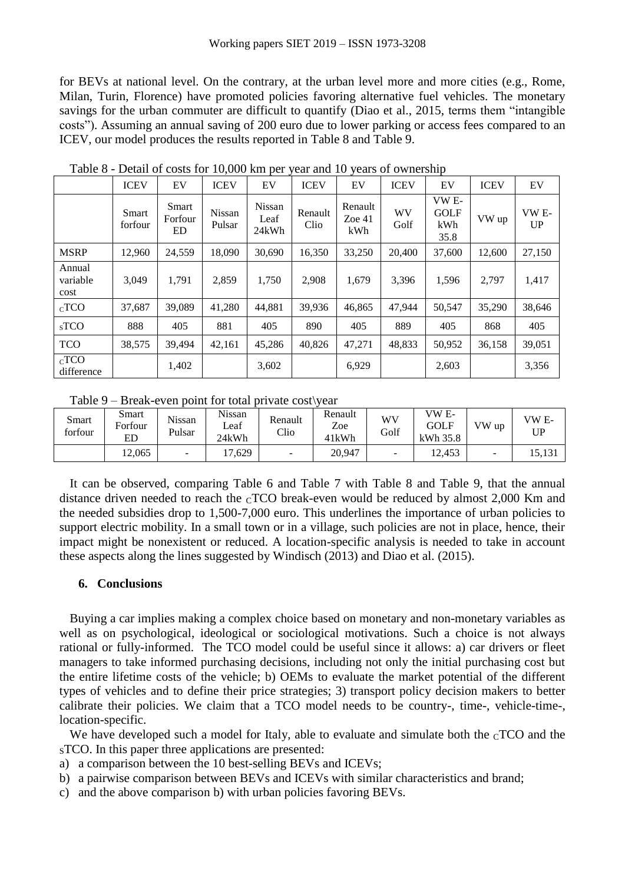for BEVs at national level. On the contrary, at the urban level more and more cities (e.g., Rome, Milan, Turin, Florence) have promoted policies favoring alternative fuel vehicles. The monetary savings for the urban commuter are difficult to quantify (Diao et al., 2015, terms them "intangible costs"). Assuming an annual saving of 200 euro due to lower parking or access fees compared to an ICEV, our model produces the results reported in [Table 8](#page-12-0) and [Table 9.](#page-12-1)

|                            | <b>ICEV</b>      | EV                                   | <b>ICEV</b>      | EV                             | <b>ICEV</b>     | EV                         | <b>ICEV</b> | EV                                  | <b>ICEV</b> | EV          |
|----------------------------|------------------|--------------------------------------|------------------|--------------------------------|-----------------|----------------------------|-------------|-------------------------------------|-------------|-------------|
|                            | Smart<br>forfour | <b>Smart</b><br>Forfour<br><b>ED</b> | Nissan<br>Pulsar | <b>Nissan</b><br>Leaf<br>24kWh | Renault<br>Clio | Renault<br>Zoe $41$<br>kWh | WV<br>Golf  | VW E-<br><b>GOLF</b><br>kWh<br>35.8 | VW up       | VW E-<br>UP |
| <b>MSRP</b>                | 12,960           | 24,559                               | 18,090           | 30,690                         | 16,350          | 33,250                     | 20,400      | 37,600                              | 12,600      | 27,150      |
| Annual<br>variable<br>cost | 3,049            | 1,791                                | 2,859            | 1,750                          | 2,908           | 1,679                      | 3,396       | 1,596                               | 2,797       | 1,417       |
| $CC TCO$                   | 37,687           | 39,089                               | 41,280           | 44,881                         | 39,936          | 46,865                     | 47,944      | 50,547                              | 35,290      | 38,646      |
| $SS$ TCO                   | 888              | 405                                  | 881              | 405                            | 890             | 405                        | 889         | 405                                 | 868         | 405         |
| <b>TCO</b>                 | 38,575           | 39.494                               | 42,161           | 45,286                         | 40,826          | 47,271                     | 48,833      | 50,952                              | 36,158      | 39,051      |
| $_{C}$ TCO<br>difference   |                  | 1,402                                |                  | 3,602                          |                 | 6,929                      |             | 2,603                               |             | 3,356       |

<span id="page-12-0"></span>Table 8 - Detail of costs for 10,000 km per year and 10 years of ownership

<span id="page-12-1"></span>Table 9 – Break-even point for total private cost\year

| Smart<br>forfour | Smart<br>Forfour<br>ED | Nissan<br>Pulsar | Nissan<br>Leaf<br>24kWh | Renault<br>Clio          | Renault<br>Zoe<br>41kWh | WV<br>Golf               | VW E-<br>GOLF<br>kWh 35.8 | VW up                    | VW E-<br>UP |
|------------------|------------------------|------------------|-------------------------|--------------------------|-------------------------|--------------------------|---------------------------|--------------------------|-------------|
|                  | 12,065                 | -                | '7,629                  | $\overline{\phantom{a}}$ | 20,947                  | $\overline{\phantom{a}}$ | 12,453                    | $\overline{\phantom{a}}$ | 15,131      |

It can be observed, comparing [Table 6](#page-11-0) and [Table 7](#page-11-1) with [Table 8](#page-12-0) and [Table 9,](#page-12-1) that the annual distance driven needed to reach the  $_{\rm C}$ TCO break-even would be reduced by almost 2,000 Km and the needed subsidies drop to 1,500-7,000 euro. This underlines the importance of urban policies to support electric mobility. In a small town or in a village, such policies are not in place, hence, their impact might be nonexistent or reduced. A location-specific analysis is needed to take in account these aspects along the lines suggested by Windisch (2013) and Diao et al. (2015).

# **6. Conclusions**

Buying a car implies making a complex choice based on monetary and non-monetary variables as well as on psychological, ideological or sociological motivations. Such a choice is not always rational or fully-informed. The TCO model could be useful since it allows: a) car drivers or fleet managers to take informed purchasing decisions, including not only the initial purchasing cost but the entire lifetime costs of the vehicle; b) OEMs to evaluate the market potential of the different types of vehicles and to define their price strategies; 3) transport policy decision makers to better calibrate their policies. We claim that a TCO model needs to be country-, time-, vehicle-time-, location-specific.

We have developed such a model for Italy, able to evaluate and simulate both the  $\rm cTCO$  and the sTCO. In this paper three applications are presented:

- a) a comparison between the 10 best-selling BEVs and ICEVs;
- b) a pairwise comparison between BEVs and ICEVs with similar characteristics and brand;
- c) and the above comparison b) with urban policies favoring BEVs.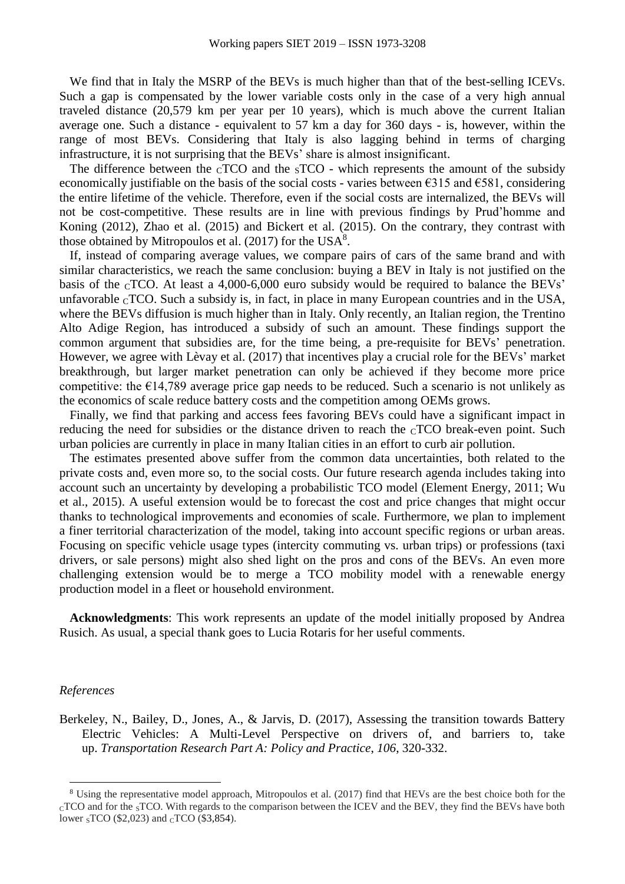We find that in Italy the MSRP of the BEVs is much higher than that of the best-selling ICEVs. Such a gap is compensated by the lower variable costs only in the case of a very high annual traveled distance (20,579 km per year per 10 years), which is much above the current Italian average one. Such a distance - equivalent to 57 km a day for 360 days - is, however, within the range of most BEVs. Considering that Italy is also lagging behind in terms of charging infrastructure, it is not surprising that the BEVs' share is almost insignificant.

The difference between the  $CTCO$  and the  $STCO$  - which represents the amount of the subsidy economically justifiable on the basis of the social costs - varies between  $\epsilon$ 315 and  $\epsilon$ 581, considering the entire lifetime of the vehicle. Therefore, even if the social costs are internalized, the BEVs will not be cost-competitive. These results are in line with previous findings by Prud'homme and Koning (2012), Zhao et al. (2015) and Bickert et al. (2015). On the contrary, they contrast with those obtained by Mitropoulos et al.  $(2017)$  for the USA<sup>8</sup>.

If, instead of comparing average values, we compare pairs of cars of the same brand and with similar characteristics, we reach the same conclusion: buying a BEV in Italy is not justified on the basis of the  $\rm cTCO$ . At least a 4,000-6,000 euro subsidy would be required to balance the BEVs' unfavorable  $CTCO$ . Such a subsidy is, in fact, in place in many European countries and in the USA, where the BEVs diffusion is much higher than in Italy. Only recently, an Italian region, the Trentino Alto Adige Region, has introduced a subsidy of such an amount. These findings support the common argument that subsidies are, for the time being, a pre-requisite for BEVs' penetration. However, we agree with Lèvay et al. (2017) that incentives play a crucial role for the BEVs' market breakthrough, but larger market penetration can only be achieved if they become more price competitive: the  $E14,789$  average price gap needs to be reduced. Such a scenario is not unlikely as the economics of scale reduce battery costs and the competition among OEMs grows.

Finally, we find that parking and access fees favoring BEVs could have a significant impact in reducing the need for subsidies or the distance driven to reach the cTCO break-even point. Such urban policies are currently in place in many Italian cities in an effort to curb air pollution.

The estimates presented above suffer from the common data uncertainties, both related to the private costs and, even more so, to the social costs. Our future research agenda includes taking into account such an uncertainty by developing a probabilistic TCO model (Element Energy, 2011; Wu et al., 2015). A useful extension would be to forecast the cost and price changes that might occur thanks to technological improvements and economies of scale. Furthermore, we plan to implement a finer territorial characterization of the model, taking into account specific regions or urban areas. Focusing on specific vehicle usage types (intercity commuting vs. urban trips) or professions (taxi drivers, or sale persons) might also shed light on the pros and cons of the BEVs. An even more challenging extension would be to merge a TCO mobility model with a renewable energy production model in a fleet or household environment.

**Acknowledgments**: This work represents an update of the model initially proposed by Andrea Rusich. As usual, a special thank goes to Lucia Rotaris for her useful comments.

#### *References*

 $\overline{a}$ 

Berkeley, N., Bailey, D., Jones, A., & Jarvis, D. (2017), Assessing the transition towards Battery Electric Vehicles: A Multi-Level Perspective on drivers of, and barriers to, take up. *Transportation Research Part A: Policy and Practice*, *106*, 320-332.

<sup>8</sup> Using the representative model approach, Mitropoulos et al. (2017) find that HEVs are the best choice both for the  $CTCO$  and for the  $STCO$ . With regards to the comparison between the ICEV and the BEV, they find the BEVs have both lower <sub>S</sub>TCO (\$2,023) and <sub>C</sub>TCO (\$3,854).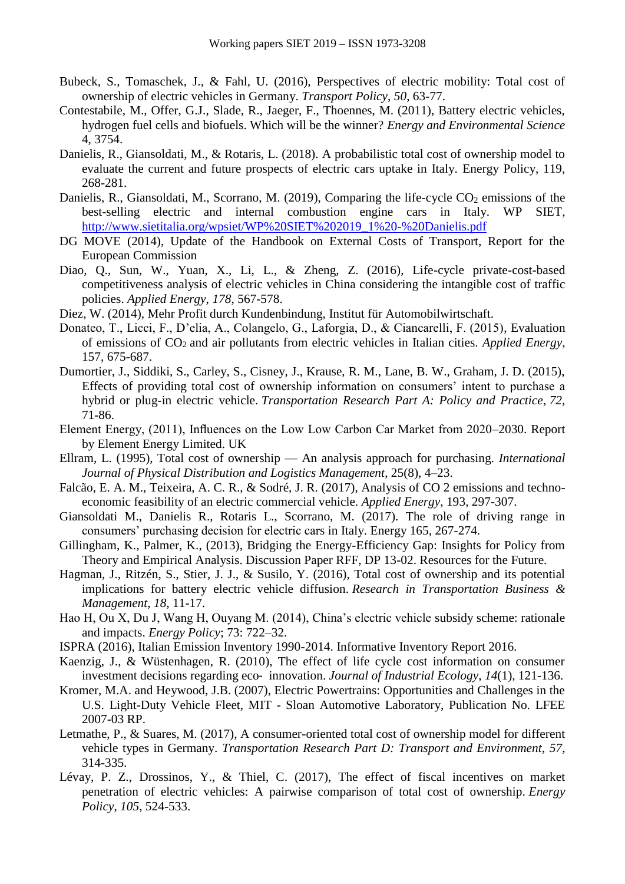- Bubeck, S., Tomaschek, J., & Fahl, U. (2016), Perspectives of electric mobility: Total cost of ownership of electric vehicles in Germany. *Transport Policy*, *50*, 63-77.
- Contestabile, M., Offer, G.J., Slade, R., Jaeger, F., Thoennes, M. (2011), Battery electric vehicles, hydrogen fuel cells and biofuels. Which will be the winner? *Energy and Environmental Science* 4, 3754.
- Danielis, R., Giansoldati, M., & Rotaris, L. (2018). A probabilistic total cost of ownership model to evaluate the current and future prospects of electric cars uptake in Italy. Energy Policy, 119, 268-281.
- Danielis, R., Giansoldati, M., Scorrano, M. (2019), Comparing the life-cycle  $CO<sub>2</sub>$  emissions of the best-selling electric and internal combustion engine cars in Italy. WP SIET, [http://www.sietitalia.org/wpsiet/WP%20SIET%202019\\_1%20-%20Danielis.pdf](http://www.sietitalia.org/wpsiet/WP%20SIET%202019_1%20-%20Danielis.pdf)
- DG MOVE (2014), Update of the Handbook on External Costs of Transport, Report for the European Commission
- Diao, Q., Sun, W., Yuan, X., Li, L., & Zheng, Z. (2016), Life-cycle private-cost-based competitiveness analysis of electric vehicles in China considering the intangible cost of traffic policies. *Applied Energy*, *178*, 567-578.
- Diez, W. (2014), Mehr Profit durch Kundenbindung, Institut für Automobilwirtschaft.
- Donateo, T., Licci, F., D'elia, A., Colangelo, G., Laforgia, D., & Ciancarelli, F. (2015), Evaluation of emissions of CO2 and air pollutants from electric vehicles in Italian cities*. Applied Energy*, 157, 675-687.
- Dumortier, J., Siddiki, S., Carley, S., Cisney, J., Krause, R. M., Lane, B. W., Graham, J. D. (2015), Effects of providing total cost of ownership information on consumers' intent to purchase a hybrid or plug-in electric vehicle. *Transportation Research Part A: Policy and Practice*, *72*, 71-86.
- Element Energy, (2011), Influences on the Low Low Carbon Car Market from 2020–2030. Report by Element Energy Limited. UK
- Ellram, L. (1995), Total cost of ownership An analysis approach for purchasing. *International Journal of Physical Distribution and Logistics Management*, 25(8), 4–23.
- Falcão, E. A. M., Teixeira, A. C. R., & Sodré, J. R. (2017), Analysis of CO 2 emissions and technoeconomic feasibility of an electric commercial vehicle. *Applied Energy*, 193, 297-307.
- Giansoldati M., Danielis R., Rotaris L., Scorrano, M. (2017). The role of driving range in consumers' purchasing decision for electric cars in Italy. Energy 165, 267-274.
- Gillingham, K., Palmer, K., (2013), Bridging the Energy-Efficiency Gap: Insights for Policy from Theory and Empirical Analysis. Discussion Paper RFF, DP 13-02. Resources for the Future.
- Hagman, J., Ritzén, S., Stier, J. J., & Susilo, Y. (2016), Total cost of ownership and its potential implications for battery electric vehicle diffusion. *Research in Transportation Business & Management*, *18*, 11-17.
- Hao H, Ou X, Du J, Wang H, Ouyang M. (2014), China's electric vehicle subsidy scheme: rationale and impacts. *Energy Policy*; 73: 722–32.
- ISPRA (2016), Italian Emission Inventory 1990-2014. Informative Inventory Report 2016.
- Kaenzig, J., & Wüstenhagen, R. (2010), The effect of life cycle cost information on consumer investment decisions regarding eco‐ innovation. *Journal of Industrial Ecology*, *14*(1), 121-136.
- Kromer, M.A. and Heywood, J.B. (2007), Electric Powertrains: Opportunities and Challenges in the U.S. Light-Duty Vehicle Fleet, MIT - Sloan Automotive Laboratory, Publication No. LFEE 2007-03 RP.
- Letmathe, P., & Suares, M. (2017), A consumer-oriented total cost of ownership model for different vehicle types in Germany. *Transportation Research Part D: Transport and Environment*, *57*, 314-335.
- Lévay, P. Z., Drossinos, Y., & Thiel, C. (2017), The effect of fiscal incentives on market penetration of electric vehicles: A pairwise comparison of total cost of ownership. *Energy Policy*, *105*, 524-533.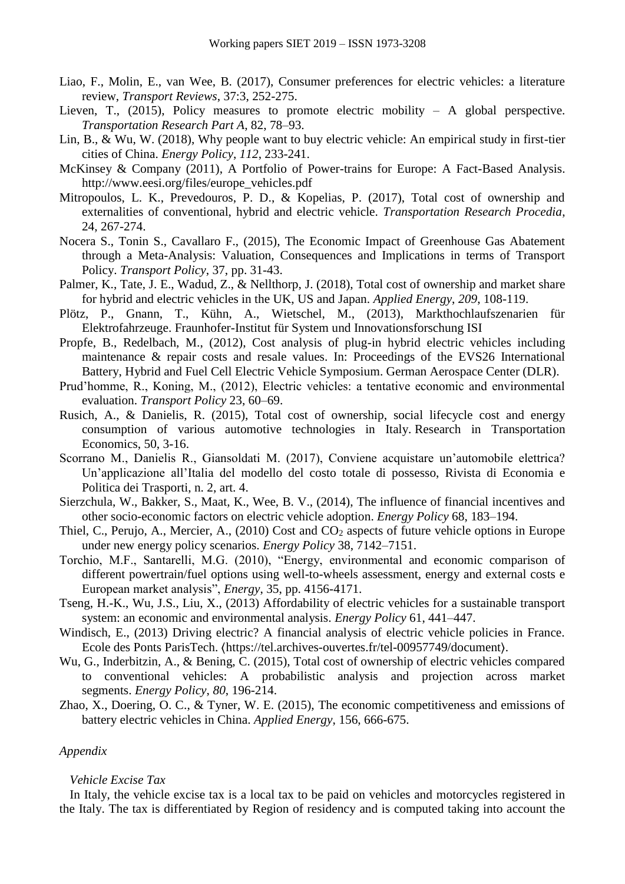- Liao, F., Molin, E., van Wee, B. (2017), Consumer preferences for electric vehicles: a literature review, *Transport Reviews*, 37:3, 252-275.
- Lieven, T., (2015), Policy measures to promote electric mobility A global perspective. *Transportation Research Part A*, 82, 78–93.
- Lin, B., & Wu, W. (2018), Why people want to buy electric vehicle: An empirical study in first-tier cities of China. *Energy Policy*, *112*, 233-241.
- McKinsey & Company (2011), A Portfolio of Power-trains for Europe: A Fact-Based Analysis. http://www.eesi.org/files/europe\_vehicles.pdf
- Mitropoulos, L. K., Prevedouros, P. D., & Kopelias, P. (2017), Total cost of ownership and externalities of conventional, hybrid and electric vehicle. *Transportation Research Procedia*, 24, 267-274.
- Nocera S., Tonin S., Cavallaro F., (2015), The Economic Impact of Greenhouse Gas Abatement through a Meta-Analysis: Valuation, Consequences and Implications in terms of Transport Policy. *Transport Policy*, 37, pp. 31-43.
- Palmer, K., Tate, J. E., Wadud, Z., & Nellthorp, J. (2018), Total cost of ownership and market share for hybrid and electric vehicles in the UK, US and Japan. *Applied Energy*, *209*, 108-119.
- Plötz, P., Gnann, T., Kühn, A., Wietschel, M., (2013), Markthochlaufszenarien für Elektrofahrzeuge. Fraunhofer-Institut für System und Innovationsforschung ISI
- Propfe, B., Redelbach, M., (2012), Cost analysis of plug-in hybrid electric vehicles including maintenance & repair costs and resale values. In: Proceedings of the EVS26 International Battery, Hybrid and Fuel Cell Electric Vehicle Symposium. German Aerospace Center (DLR).
- Prud'homme, R., Koning, M., (2012), Electric vehicles: a tentative economic and environmental evaluation. *Transport Policy* 23, 60–69.
- Rusich, A., & Danielis, R. (2015), Total cost of ownership, social lifecycle cost and energy consumption of various automotive technologies in Italy. Research in Transportation Economics, 50, 3-16.
- Scorrano M., Danielis R., Giansoldati M. (2017), Conviene acquistare un'automobile elettrica? Un'applicazione all'Italia del modello del costo totale di possesso, Rivista di Economia e Politica dei Trasporti, n. 2, art. 4.
- Sierzchula, W., Bakker, S., Maat, K., Wee, B. V., (2014), The influence of financial incentives and other socio-economic factors on electric vehicle adoption. *Energy Policy* 68, 183–194.
- Thiel, C., Perujo, A., Mercier, A., (2010) Cost and CO<sub>2</sub> aspects of future vehicle options in Europe under new energy policy scenarios. *Energy Policy* 38, 7142–7151.
- Torchio, M.F., Santarelli, M.G. (2010), "Energy, environmental and economic comparison of different powertrain/fuel options using well-to-wheels assessment, energy and external costs e European market analysis", *Energy*, 35, pp. 4156-4171.
- Tseng, H.-K., Wu, J.S., Liu, X., (2013) Affordability of electric vehicles for a sustainable transport system: an economic and environmental analysis. *Energy Policy* 61, 441–447.
- Windisch, E., (2013) Driving electric? A financial analysis of electric vehicle policies in France. Ecole des Ponts ParisTech. 〈https://tel.archives-ouvertes.fr/tel-00957749/document〉.
- Wu, G., Inderbitzin, A., & Bening, C. (2015), Total cost of ownership of electric vehicles compared to conventional vehicles: A probabilistic analysis and projection across market segments. *Energy Policy*, *80*, 196-214.
- Zhao, X., Doering, O. C., & Tyner, W. E. (2015), The economic competitiveness and emissions of battery electric vehicles in China. *Applied Energy*, 156, 666-675.

# *Appendix*

# *Vehicle Excise Tax*

In Italy, the vehicle excise tax is a local tax to be paid on vehicles and motorcycles registered in the Italy. The tax is differentiated by Region of residency and is computed taking into account the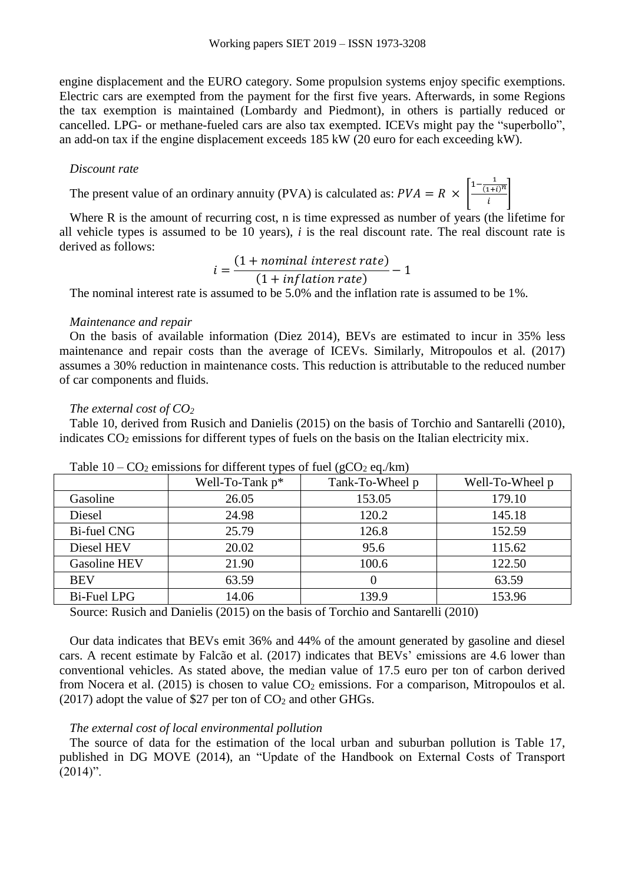engine displacement and the EURO category. Some propulsion systems enjoy specific exemptions. Electric cars are exempted from the payment for the first five years. Afterwards, in some Regions the tax exemption is maintained (Lombardy and Piedmont), in others is partially reduced or cancelled. LPG- or methane-fueled cars are also tax exempted. ICEVs might pay the "superbollo", an add-on tax if the engine displacement exceeds 185 kW (20 euro for each exceeding kW).

# *Discount rate*

The present value of an ordinary annuity (PVA) is calculated as:  $PVA = R \times \left[ \frac{1 - \frac{1}{(1+i)^n}}{1+i} \right]$  $\left|\frac{i+i}{i}\right|$ 

Where R is the amount of recurring cost, n is time expressed as number of years (the lifetime for all vehicle types is assumed to be 10 years), *i* is the real discount rate. The real discount rate is derived as follows:

$$
=\frac{(1 + nominal interest rate)}{(1 + inflation rate)} - 1
$$

The nominal interest rate is assumed to be 5.0% and the inflation rate is assumed to be 1%.

#### *Maintenance and repair*

On the basis of available information (Diez 2014), BEVs are estimated to incur in 35% less maintenance and repair costs than the average of ICEVs. Similarly, Mitropoulos et al. (2017) assumes a 30% reduction in maintenance costs. This reduction is attributable to the reduced number of car components and fluids.

#### *The external cost of CO<sup>2</sup>*

[Table 10,](#page-16-0) derived from Rusich and Danielis (2015) on the basis of Torchio and Santarelli (2010), indicates  $CO<sub>2</sub>$  emissions for different types of fuels on the basis on the Italian electricity mix.

|                    | Well-To-Tank $p^*$ | Tank-To-Wheel p | Well-To-Wheel p |
|--------------------|--------------------|-----------------|-----------------|
| Gasoline           | 26.05              | 153.05          | 179.10          |
| Diesel             | 24.98              | 120.2           | 145.18          |
| <b>Bi-fuel CNG</b> | 25.79              | 126.8           | 152.59          |
| Diesel HEV         | 20.02              | 95.6            | 115.62          |
| Gasoline HEV       | 21.90              | 100.6           | 122.50          |
| <b>BEV</b>         | 63.59              | 0               | 63.59           |
| <b>Bi-Fuel LPG</b> | 14.06              | 139.9           | 153.96          |

<span id="page-16-0"></span>

|  |  |  |  | Table $10 - CO_2$ emissions for different types of fuel (gCO <sub>2</sub> eq./km) |  |
|--|--|--|--|-----------------------------------------------------------------------------------|--|
|--|--|--|--|-----------------------------------------------------------------------------------|--|

 $\dot{i}$ 

Source: Rusich and Danielis (2015) on the basis of Torchio and Santarelli (2010)

Our data indicates that BEVs emit 36% and 44% of the amount generated by gasoline and diesel cars. A recent estimate by Falcão et al. (2017) indicates that BEVs' emissions are 4.6 lower than conventional vehicles. As stated above, the median value of 17.5 euro per ton of carbon derived from Nocera et al. (2015) is chosen to value  $CO<sub>2</sub>$  emissions. For a comparison, Mitropoulos et al. (2017) adopt the value of \$27 per ton of  $CO<sub>2</sub>$  and other GHGs.

# *The external cost of local environmental pollution*

The source of data for the estimation of the local urban and suburban pollution is Table 17, published in DG MOVE (2014), an "Update of the Handbook on External Costs of Transport  $(2014)$ ".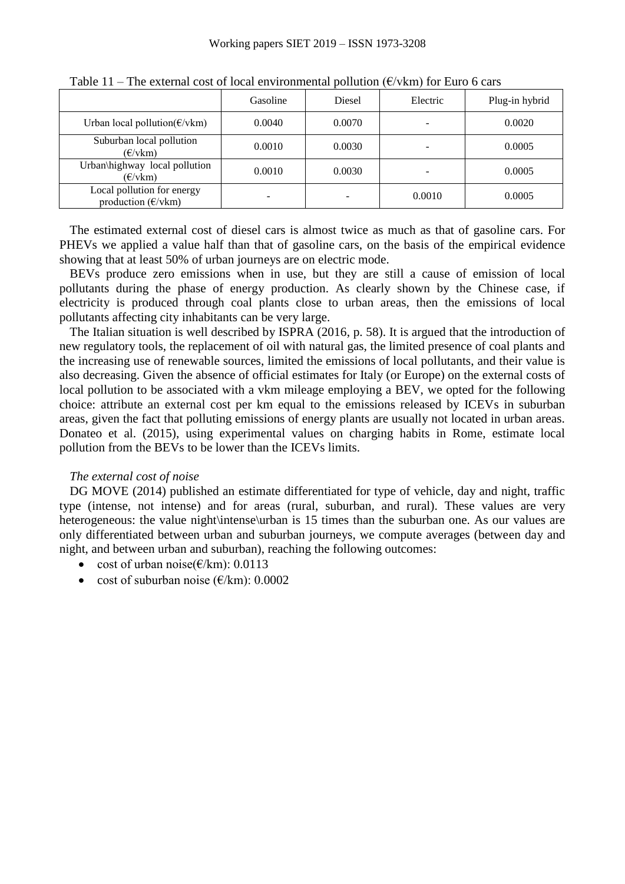|                                                                  | Gasoline | <b>Diesel</b> | Electric                 | Plug-in hybrid |
|------------------------------------------------------------------|----------|---------------|--------------------------|----------------|
| Urban local pollution( $\epsilon$ /vkm)                          | 0.0040   | 0.0070        | $\overline{\phantom{0}}$ | 0.0020         |
| Suburban local pollution<br>$(\epsilon/\text{vkm})$              | 0.0010   | 0.0030        | $\overline{\phantom{a}}$ | 0.0005         |
| Urban\highway local pollution<br>$(\epsilon/\text{vkm})$         | 0.0010   | 0.0030        | $\overline{\phantom{0}}$ | 0.0005         |
| Local pollution for energy<br>production $(\epsilon/\text{vkm})$ |          |               | 0.0010                   | 0.0005         |

Table 11 – The external cost of local environmental pollution ( $\epsilon/\nu$ km) for Euro 6 cars

The estimated external cost of diesel cars is almost twice as much as that of gasoline cars. For PHEVs we applied a value half than that of gasoline cars, on the basis of the empirical evidence showing that at least 50% of urban journeys are on electric mode.

BEVs produce zero emissions when in use, but they are still a cause of emission of local pollutants during the phase of energy production. As clearly shown by the Chinese case, if electricity is produced through coal plants close to urban areas, then the emissions of local pollutants affecting city inhabitants can be very large.

The Italian situation is well described by ISPRA (2016, p. 58). It is argued that the introduction of new regulatory tools, the replacement of oil with natural gas, the limited presence of coal plants and the increasing use of renewable sources, limited the emissions of local pollutants, and their value is also decreasing. Given the absence of official estimates for Italy (or Europe) on the external costs of local pollution to be associated with a vkm mileage employing a BEV, we opted for the following choice: attribute an external cost per km equal to the emissions released by ICEVs in suburban areas, given the fact that polluting emissions of energy plants are usually not located in urban areas. Donateo et al. (2015), using experimental values on charging habits in Rome, estimate local pollution from the BEVs to be lower than the ICEVs limits.

# *The external cost of noise*

DG MOVE (2014) published an estimate differentiated for type of vehicle, day and night, traffic type (intense, not intense) and for areas (rural, suburban, and rural). These values are very heterogeneous: the value night\intense\urban is 15 times than the suburban one. As our values are only differentiated between urban and suburban journeys, we compute averages (between day and night, and between urban and suburban), reaching the following outcomes:

- cost of urban noise( $\epsilon$ /km): 0.0113
- cost of suburban noise ( $\epsilon/km$ ): 0.0002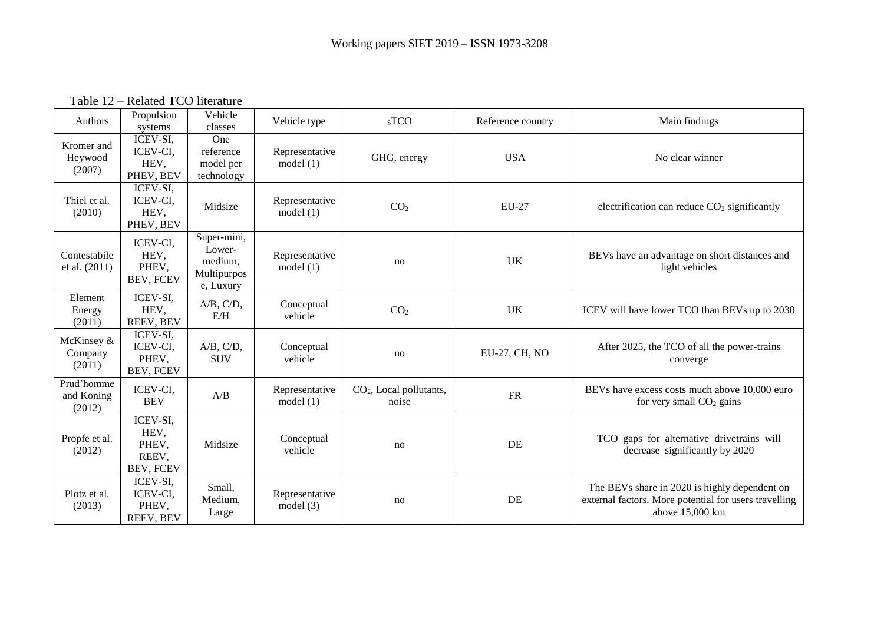Table 12 – Related TCO literature

<span id="page-18-0"></span>

| Authors                            | Propulsion<br>systems                                  | Vehicle<br>classes                                           | Vehicle type                  | $SS$ TCO                           | Reference country | Main findings                                                                                                             |
|------------------------------------|--------------------------------------------------------|--------------------------------------------------------------|-------------------------------|------------------------------------|-------------------|---------------------------------------------------------------------------------------------------------------------------|
| Kromer and<br>Heywood<br>(2007)    | ICEV-SI,<br>ICEV-CI,<br>HEV,<br>PHEV, BEV              | One<br>reference<br>model per<br>technology                  | Representative<br>model $(1)$ | GHG, energy                        | <b>USA</b>        | No clear winner                                                                                                           |
| Thiel et al.<br>(2010)             | ICEV-SI.<br><b>ICEV-CI.</b><br>HEV,<br>PHEV, BEV       | Midsize                                                      | Representative<br>model(1)    | CO <sub>2</sub>                    | EU-27             | electrification can reduce $CO2$ significantly                                                                            |
| Contestabile<br>et al. (2011)      | ICEV-CI,<br>HEV,<br>PHEV,<br>BEV, FCEV                 | Super-mini,<br>Lower-<br>medium,<br>Multipurpos<br>e, Luxury | Representative<br>model $(1)$ | no                                 | <b>UK</b>         | BEVs have an advantage on short distances and<br>light vehicles                                                           |
| Element<br>Energy<br>(2011)        | ICEV-SI.<br>HEV,<br>REEV, BEV                          | A/B, C/D,<br>E/H                                             | Conceptual<br>vehicle         | CO <sub>2</sub>                    | <b>UK</b>         | ICEV will have lower TCO than BEVs up to 2030                                                                             |
| McKinsey &<br>Company<br>(2011)    | ICEV-SI,<br>ICEV-CI,<br>PHEV,<br>BEV, FCEV             | A/B, C/D,<br><b>SUV</b>                                      | Conceptual<br>vehicle         | no                                 | EU-27, CH, NO     | After 2025, the TCO of all the power-trains<br>converge                                                                   |
| Prud'homme<br>and Koning<br>(2012) | ICEV-CI,<br><b>BEV</b>                                 | A/B                                                          | Representative<br>model(1)    | $CO2$ , Local pollutants,<br>noise | <b>FR</b>         | BEVs have excess costs much above 10,000 euro<br>for very small $CO2$ gains                                               |
| Propfe et al.<br>(2012)            | ICEV-SI,<br>HEV,<br>PHEV,<br>REEV,<br><b>BEV, FCEV</b> | Midsize                                                      | Conceptual<br>vehicle         | no                                 | DE                | TCO gaps for alternative drivetrains will<br>decrease significantly by 2020                                               |
| Plötz et al.<br>(2013)             | ICEV-SI,<br>ICEV-CI,<br>PHEV,<br>REEV, BEV             | Small,<br>Medium,<br>Large                                   | Representative<br>model $(3)$ | no                                 | DE                | The BEVs share in 2020 is highly dependent on<br>external factors. More potential for users travelling<br>above 15,000 km |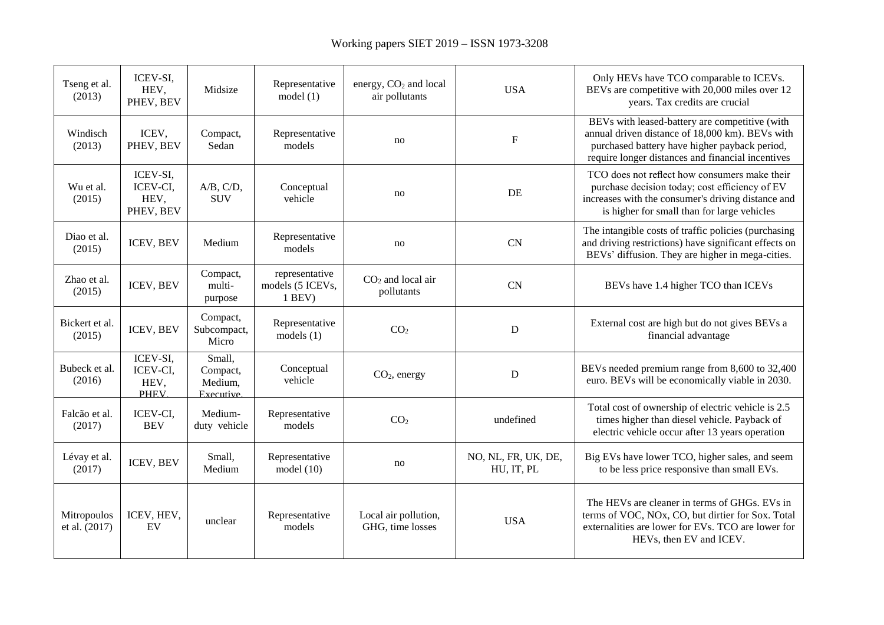| Tseng et al.<br>(2013)       | ICEV-SI,<br>HEV,<br>PHEV, BEV               | Midsize                                                         | Representative<br>model $(1)$                  | energy, CO <sub>2</sub> and local<br>air pollutants | <b>USA</b>                        | Only HEVs have TCO comparable to ICEVs.<br>BEVs are competitive with 20,000 miles over 12<br>years. Tax credits are crucial                                                                             |
|------------------------------|---------------------------------------------|-----------------------------------------------------------------|------------------------------------------------|-----------------------------------------------------|-----------------------------------|---------------------------------------------------------------------------------------------------------------------------------------------------------------------------------------------------------|
| Windisch<br>(2013)           | ICEV,<br>PHEV, BEV                          | Compact,<br>Sedan                                               | Representative<br>models                       | no                                                  | $\boldsymbol{\mathrm{F}}$         | BEVs with leased-battery are competitive (with<br>annual driven distance of 18,000 km). BEVs with<br>purchased battery have higher payback period,<br>require longer distances and financial incentives |
| Wu et al.<br>(2015)          | ICEV-SI.<br>ICEV-CI,<br>HEV,<br>PHEV, BEV   | A/B, C/D,<br><b>SUV</b>                                         | Conceptual<br>vehicle                          | no                                                  | DE                                | TCO does not reflect how consumers make their<br>purchase decision today; cost efficiency of EV<br>increases with the consumer's driving distance and<br>is higher for small than for large vehicles    |
| Diao et al.<br>(2015)        | ICEV, BEV                                   | Medium                                                          | Representative<br>models                       | no                                                  | <b>CN</b>                         | The intangible costs of traffic policies (purchasing<br>and driving restrictions) have significant effects on<br>BEVs' diffusion. They are higher in mega-cities.                                       |
| Zhao et al.<br>(2015)        | ICEV, BEV                                   | Compact,<br>multi-<br>purpose                                   | representative<br>models (5 ICEVs,<br>$1$ BEV) | $CO2$ and local air<br>pollutants                   | <b>CN</b>                         | BEVs have 1.4 higher TCO than ICEVs                                                                                                                                                                     |
| Bickert et al.<br>(2015)     | ICEV, BEV                                   | Compact,<br>Subcompact,<br>Micro                                | Representative<br>models $(1)$                 | CO <sub>2</sub>                                     | ${\bf D}$                         | External cost are high but do not gives BEVs a<br>financial advantage                                                                                                                                   |
| Bubeck et al.<br>(2016)      | ICEV-SI,<br>ICEV-CI,<br>HEV,<br><b>PHEV</b> | $\overline{\text{Small}}$ ,<br>Compact,<br>Medium,<br>Executive | Conceptual<br>vehicle                          | $CO2$ , energy                                      | D                                 | BEVs needed premium range from 8,600 to 32,400<br>euro. BEVs will be economically viable in 2030.                                                                                                       |
| Falcão et al.<br>(2017)      | ICEV-CI,<br><b>BEV</b>                      | Medium-<br>duty vehicle                                         | Representative<br>models                       | CO <sub>2</sub>                                     | undefined                         | Total cost of ownership of electric vehicle is 2.5<br>times higher than diesel vehicle. Payback of<br>electric vehicle occur after 13 years operation                                                   |
| Lévay et al.<br>(2017)       | ICEV, BEV                                   | Small,<br>Medium                                                | Representative<br>model(10)                    | no                                                  | NO, NL, FR, UK, DE,<br>HU, IT, PL | Big EVs have lower TCO, higher sales, and seem<br>to be less price responsive than small EVs.                                                                                                           |
| Mitropoulos<br>et al. (2017) | ICEV, HEV,<br>EV                            | unclear                                                         | Representative<br>models                       | Local air pollution,<br>GHG, time losses            | <b>USA</b>                        | The HEVs are cleaner in terms of GHGs. EVs in<br>terms of VOC, NOx, CO, but dirtier for Sox. Total<br>externalities are lower for EVs. TCO are lower for<br>HEVs, then EV and ICEV.                     |